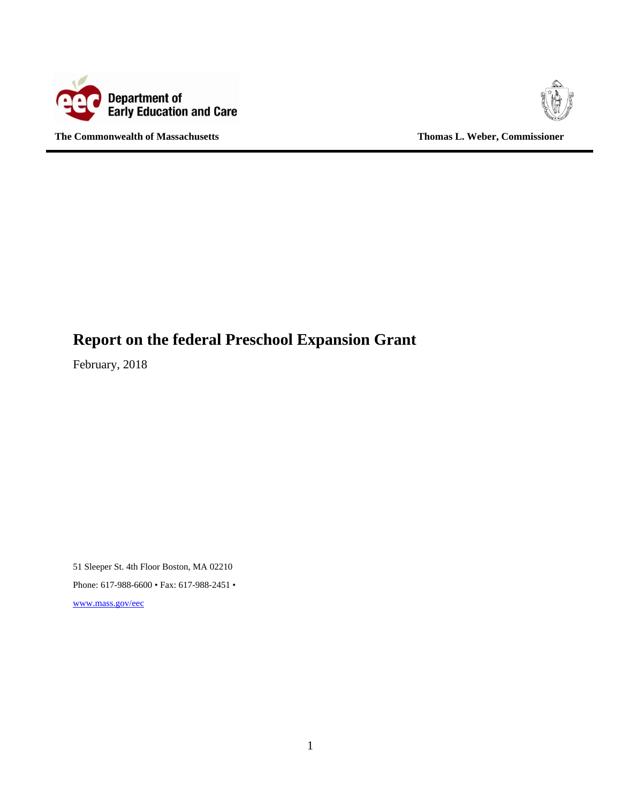

**The Commonwealth of Massachusetts Thomas L. Weber, Commissioner** 



# **Report on the federal Preschool Expansion Grant**

February, 2018

51 Sleeper St. 4th Floor Boston, MA 02210 Phone: 617-988-6600 • Fax: 617-988-2451 • www.mass.gov/eec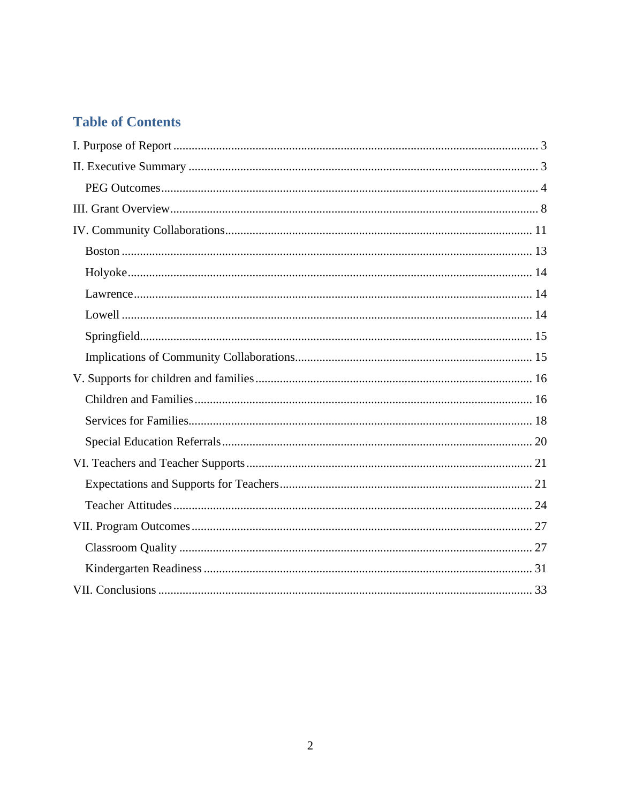# **Table of Contents**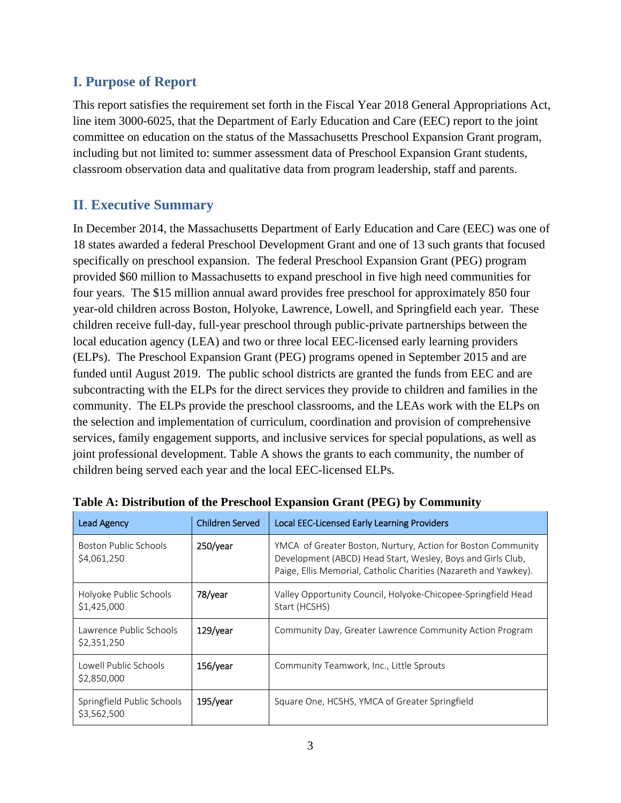# **I. Purpose of Report**

This report satisfies the requirement set forth in the Fiscal Year 2018 General Appropriations Act, line item 3000-6025, that the Department of Early Education and Care (EEC) report to the joint committee on education on the status of the Massachusetts Preschool Expansion Grant program, including but not limited to: summer assessment data of Preschool Expansion Grant students, classroom observation data and qualitative data from program leadership, staff and parents.

# **II**. **Executive Summary**

In December 2014, the Massachusetts Department of Early Education and Care (EEC) was one of 18 states awarded a federal Preschool Development Grant and one of 13 such grants that focused specifically on preschool expansion. The federal Preschool Expansion Grant (PEG) program provided \$60 million to Massachusetts to expand preschool in five high need communities for four years. The \$15 million annual award provides free preschool for approximately 850 four year-old children across Boston, Holyoke, Lawrence, Lowell, and Springfield each year. These children receive full-day, full-year preschool through public-private partnerships between the local education agency (LEA) and two or three local EEC-licensed early learning providers (ELPs). The Preschool Expansion Grant (PEG) programs opened in September 2015 and are funded until August 2019. The public school districts are granted the funds from EEC and are subcontracting with the ELPs for the direct services they provide to children and families in the community. The ELPs provide the preschool classrooms, and the LEAs work with the ELPs on the selection and implementation of curriculum, coordination and provision of comprehensive services, family engagement supports, and inclusive services for special populations, as well as joint professional development. Table A shows the grants to each community, the number of children being served each year and the local EEC-licensed ELPs.

| <b>Lead Agency</b>                        | <b>Children Served</b> | Local EEC-Licensed Early Learning Providers                                                                                                                                                     |
|-------------------------------------------|------------------------|-------------------------------------------------------------------------------------------------------------------------------------------------------------------------------------------------|
| Boston Public Schools<br>\$4,061,250      | 250/year               | YMCA of Greater Boston, Nurtury, Action for Boston Community<br>Development (ABCD) Head Start, Wesley, Boys and Girls Club,<br>Paige, Ellis Memorial, Catholic Charities (Nazareth and Yawkey). |
| Holyoke Public Schools<br>\$1,425,000     | 78/year                | Valley Opportunity Council, Holyoke-Chicopee-Springfield Head<br>Start (HCSHS)                                                                                                                  |
| Lawrence Public Schools<br>\$2,351,250    | $129$ /year            | Community Day, Greater Lawrence Community Action Program                                                                                                                                        |
| Lowell Public Schools<br>\$2,850,000      | 156/year               | Community Teamwork, Inc., Little Sprouts                                                                                                                                                        |
| Springfield Public Schools<br>\$3,562,500 | $195$ /year            | Square One, HCSHS, YMCA of Greater Springfield                                                                                                                                                  |

|  |  | Table A: Distribution of the Preschool Expansion Grant (PEG) by Community |
|--|--|---------------------------------------------------------------------------|
|--|--|---------------------------------------------------------------------------|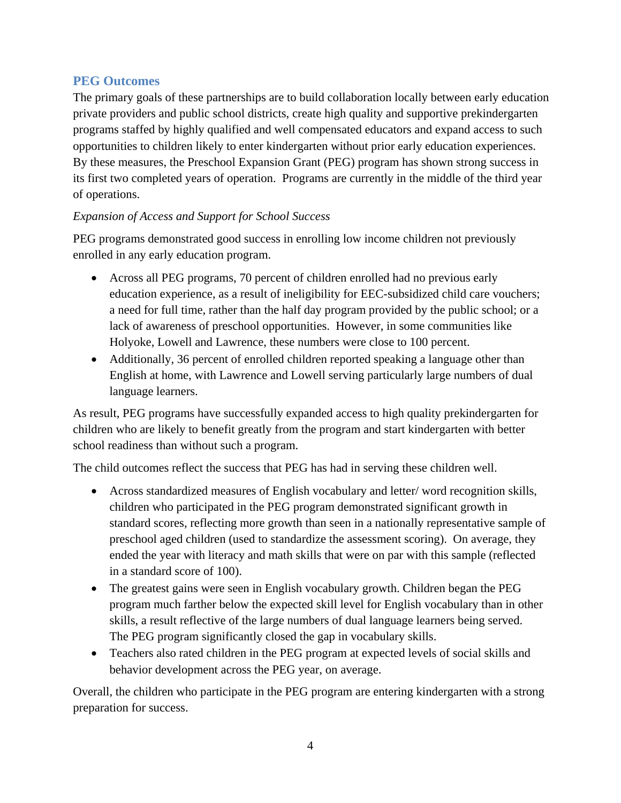### **PEG Outcomes**

The primary goals of these partnerships are to build collaboration locally between early education private providers and public school districts, create high quality and supportive prekindergarten programs staffed by highly qualified and well compensated educators and expand access to such opportunities to children likely to enter kindergarten without prior early education experiences. By these measures, the Preschool Expansion Grant (PEG) program has shown strong success in its first two completed years of operation. Programs are currently in the middle of the third year of operations.

### *Expansion of Access and Support for School Success*

PEG programs demonstrated good success in enrolling low income children not previously enrolled in any early education program.

- Across all PEG programs, 70 percent of children enrolled had no previous early education experience, as a result of ineligibility for EEC-subsidized child care vouchers; a need for full time, rather than the half day program provided by the public school; or a lack of awareness of preschool opportunities. However, in some communities like Holyoke, Lowell and Lawrence, these numbers were close to 100 percent.
- Additionally, 36 percent of enrolled children reported speaking a language other than English at home, with Lawrence and Lowell serving particularly large numbers of dual language learners.

As result, PEG programs have successfully expanded access to high quality prekindergarten for children who are likely to benefit greatly from the program and start kindergarten with better school readiness than without such a program.

The child outcomes reflect the success that PEG has had in serving these children well.

- Across standardized measures of English vocabulary and letter/ word recognition skills, children who participated in the PEG program demonstrated significant growth in standard scores, reflecting more growth than seen in a nationally representative sample of preschool aged children (used to standardize the assessment scoring). On average, they ended the year with literacy and math skills that were on par with this sample (reflected in a standard score of 100).
- The greatest gains were seen in English vocabulary growth. Children began the PEG program much farther below the expected skill level for English vocabulary than in other skills, a result reflective of the large numbers of dual language learners being served. The PEG program significantly closed the gap in vocabulary skills.
- Teachers also rated children in the PEG program at expected levels of social skills and behavior development across the PEG year, on average.

Overall, the children who participate in the PEG program are entering kindergarten with a strong preparation for success.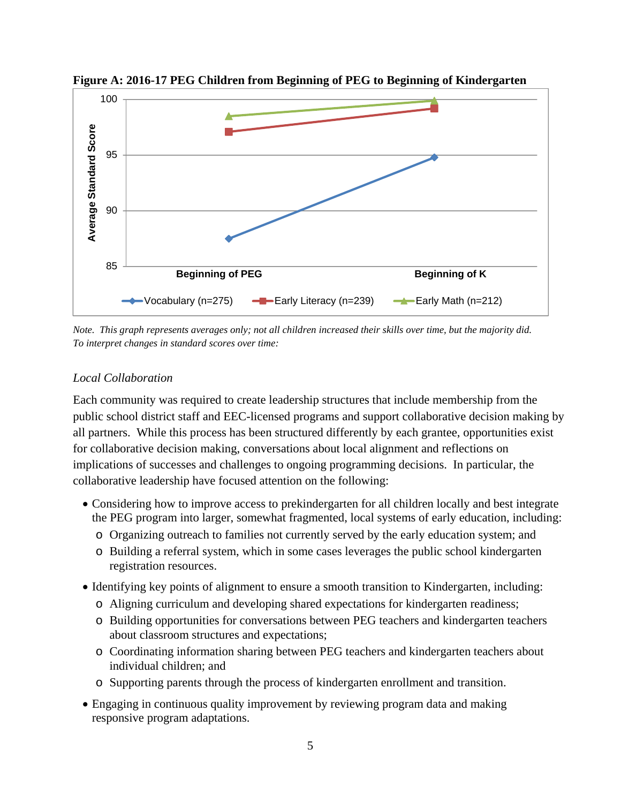

**Figure A: 2016-17 PEG Children from Beginning of PEG to Beginning of Kindergarten**

*Note. This graph represents averages only; not all children increased their skills over time, but the majority did. To interpret changes in standard scores over time:* 

#### *Local Collaboration*

Each community was required to create leadership structures that include membership from the public school district staff and EEC-licensed programs and support collaborative decision making by all partners. While this process has been structured differently by each grantee, opportunities exist for collaborative decision making, conversations about local alignment and reflections on implications of successes and challenges to ongoing programming decisions. In particular, the collaborative leadership have focused attention on the following:

- Considering how to improve access to prekindergarten for all children locally and best integrate the PEG program into larger, somewhat fragmented, local systems of early education, including:
	- o Organizing outreach to families not currently served by the early education system; and
	- o Building a referral system, which in some cases leverages the public school kindergarten registration resources.
- Identifying key points of alignment to ensure a smooth transition to Kindergarten, including:
	- o Aligning curriculum and developing shared expectations for kindergarten readiness;
	- o Building opportunities for conversations between PEG teachers and kindergarten teachers about classroom structures and expectations;
	- o Coordinating information sharing between PEG teachers and kindergarten teachers about individual children; and
	- o Supporting parents through the process of kindergarten enrollment and transition.
- Engaging in continuous quality improvement by reviewing program data and making responsive program adaptations.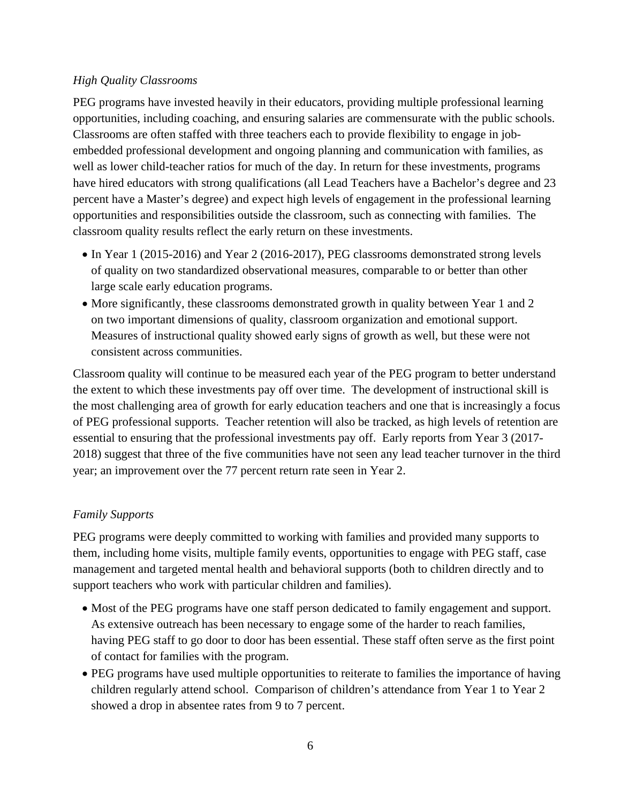### *High Quality Classrooms*

PEG programs have invested heavily in their educators, providing multiple professional learning opportunities, including coaching, and ensuring salaries are commensurate with the public schools. Classrooms are often staffed with three teachers each to provide flexibility to engage in jobembedded professional development and ongoing planning and communication with families, as well as lower child-teacher ratios for much of the day. In return for these investments, programs have hired educators with strong qualifications (all Lead Teachers have a Bachelor's degree and 23 percent have a Master's degree) and expect high levels of engagement in the professional learning opportunities and responsibilities outside the classroom, such as connecting with families. The classroom quality results reflect the early return on these investments.

- In Year 1 (2015-2016) and Year 2 (2016-2017), PEG classrooms demonstrated strong levels of quality on two standardized observational measures, comparable to or better than other large scale early education programs.
- More significantly, these classrooms demonstrated growth in quality between Year 1 and 2 on two important dimensions of quality, classroom organization and emotional support. Measures of instructional quality showed early signs of growth as well, but these were not consistent across communities.

Classroom quality will continue to be measured each year of the PEG program to better understand the extent to which these investments pay off over time. The development of instructional skill is the most challenging area of growth for early education teachers and one that is increasingly a focus of PEG professional supports. Teacher retention will also be tracked, as high levels of retention are essential to ensuring that the professional investments pay off. Early reports from Year 3 (2017- 2018) suggest that three of the five communities have not seen any lead teacher turnover in the third year; an improvement over the 77 percent return rate seen in Year 2.

### *Family Supports*

PEG programs were deeply committed to working with families and provided many supports to them, including home visits, multiple family events, opportunities to engage with PEG staff, case management and targeted mental health and behavioral supports (both to children directly and to support teachers who work with particular children and families).

- Most of the PEG programs have one staff person dedicated to family engagement and support. As extensive outreach has been necessary to engage some of the harder to reach families, having PEG staff to go door to door has been essential. These staff often serve as the first point of contact for families with the program.
- PEG programs have used multiple opportunities to reiterate to families the importance of having children regularly attend school. Comparison of children's attendance from Year 1 to Year 2 showed a drop in absentee rates from 9 to 7 percent.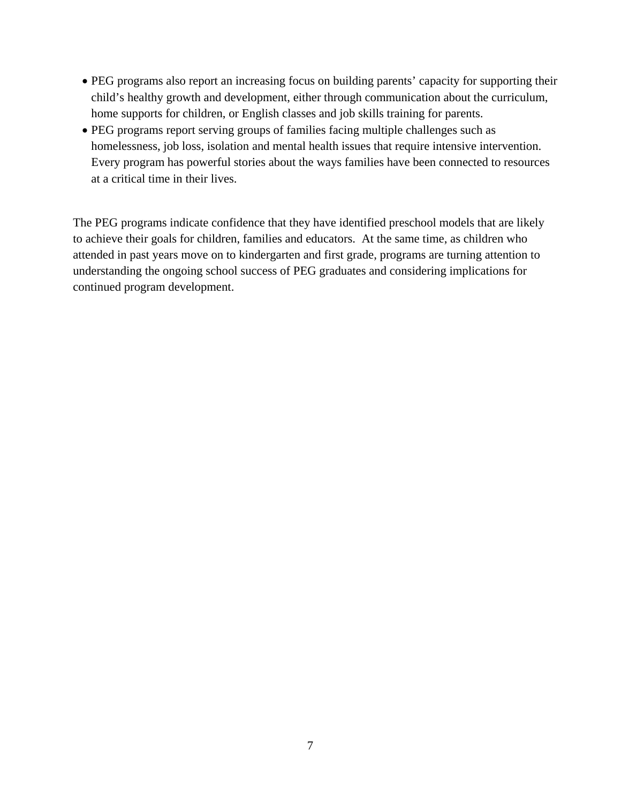- PEG programs also report an increasing focus on building parents' capacity for supporting their child's healthy growth and development, either through communication about the curriculum, home supports for children, or English classes and job skills training for parents.
- PEG programs report serving groups of families facing multiple challenges such as homelessness, job loss, isolation and mental health issues that require intensive intervention. Every program has powerful stories about the ways families have been connected to resources at a critical time in their lives.

The PEG programs indicate confidence that they have identified preschool models that are likely to achieve their goals for children, families and educators. At the same time, as children who attended in past years move on to kindergarten and first grade, programs are turning attention to understanding the ongoing school success of PEG graduates and considering implications for continued program development.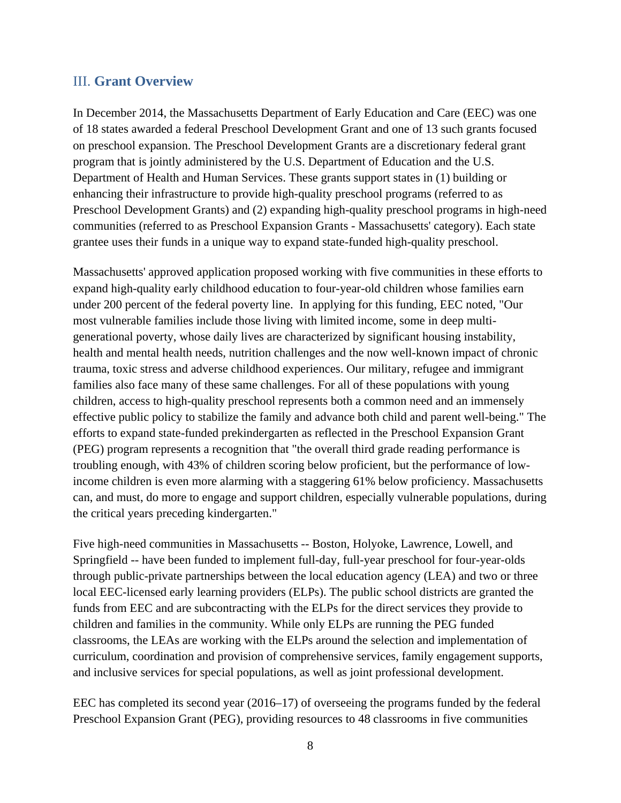### III. **Grant Overview**

In December 2014, the Massachusetts Department of Early Education and Care (EEC) was one of 18 states awarded a federal Preschool Development Grant and one of 13 such grants focused on preschool expansion. The Preschool Development Grants are a discretionary federal grant program that is jointly administered by the U.S. Department of Education and the U.S. Department of Health and Human Services. These grants support states in (1) building or enhancing their infrastructure to provide high-quality preschool programs (referred to as Preschool Development Grants) and (2) expanding high-quality preschool programs in high-need communities (referred to as Preschool Expansion Grants - Massachusetts' category). Each state grantee uses their funds in a unique way to expand state-funded high-quality preschool.

Massachusetts' approved application proposed working with five communities in these efforts to expand high-quality early childhood education to four-year-old children whose families earn under 200 percent of the federal poverty line. In applying for this funding, EEC noted, "Our most vulnerable families include those living with limited income, some in deep multigenerational poverty, whose daily lives are characterized by significant housing instability, health and mental health needs, nutrition challenges and the now well-known impact of chronic trauma, toxic stress and adverse childhood experiences. Our military, refugee and immigrant families also face many of these same challenges. For all of these populations with young children, access to high-quality preschool represents both a common need and an immensely effective public policy to stabilize the family and advance both child and parent well-being." The efforts to expand state-funded prekindergarten as reflected in the Preschool Expansion Grant (PEG) program represents a recognition that "the overall third grade reading performance is troubling enough, with 43% of children scoring below proficient, but the performance of lowincome children is even more alarming with a staggering 61% below proficiency. Massachusetts can, and must, do more to engage and support children, especially vulnerable populations, during the critical years preceding kindergarten."

Five high-need communities in Massachusetts -- Boston, Holyoke, Lawrence, Lowell, and Springfield -- have been funded to implement full-day, full-year preschool for four-year-olds through public-private partnerships between the local education agency (LEA) and two or three local EEC-licensed early learning providers (ELPs). The public school districts are granted the funds from EEC and are subcontracting with the ELPs for the direct services they provide to children and families in the community. While only ELPs are running the PEG funded classrooms, the LEAs are working with the ELPs around the selection and implementation of curriculum, coordination and provision of comprehensive services, family engagement supports, and inclusive services for special populations, as well as joint professional development.

EEC has completed its second year (2016–17) of overseeing the programs funded by the federal Preschool Expansion Grant (PEG), providing resources to 48 classrooms in five communities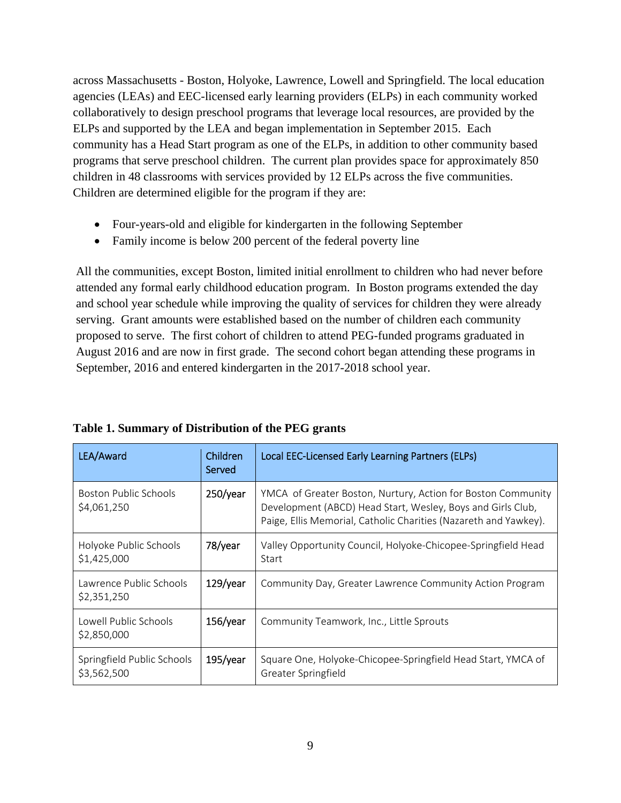across Massachusetts - Boston, Holyoke, Lawrence, Lowell and Springfield. The local education agencies (LEAs) and EEC-licensed early learning providers (ELPs) in each community worked collaboratively to design preschool programs that leverage local resources, are provided by the ELPs and supported by the LEA and began implementation in September 2015. Each community has a Head Start program as one of the ELPs, in addition to other community based programs that serve preschool children. The current plan provides space for approximately 850 children in 48 classrooms with services provided by 12 ELPs across the five communities. Children are determined eligible for the program if they are:

- Four-years-old and eligible for kindergarten in the following September
- Family income is below 200 percent of the federal poverty line

All the communities, except Boston, limited initial enrollment to children who had never before attended any formal early childhood education program. In Boston programs extended the day and school year schedule while improving the quality of services for children they were already serving. Grant amounts were established based on the number of children each community proposed to serve. The first cohort of children to attend PEG-funded programs graduated in August 2016 and are now in first grade. The second cohort began attending these programs in September, 2016 and entered kindergarten in the 2017-2018 school year.

| LEA/Award                                   | Children<br>Served | Local EEC-Licensed Early Learning Partners (ELPs)                                                                                                                                               |
|---------------------------------------------|--------------------|-------------------------------------------------------------------------------------------------------------------------------------------------------------------------------------------------|
| <b>Boston Public Schools</b><br>\$4,061,250 | $250$ /year        | YMCA of Greater Boston, Nurtury, Action for Boston Community<br>Development (ABCD) Head Start, Wesley, Boys and Girls Club,<br>Paige, Ellis Memorial, Catholic Charities (Nazareth and Yawkey). |
| Holyoke Public Schools<br>\$1,425,000       | 78/year            | Valley Opportunity Council, Holyoke-Chicopee-Springfield Head<br>Start                                                                                                                          |
| Lawrence Public Schools<br>\$2,351,250      | $129$ /year        | Community Day, Greater Lawrence Community Action Program                                                                                                                                        |
| Lowell Public Schools<br>\$2,850,000        | $156$ /year        | Community Teamwork, Inc., Little Sprouts                                                                                                                                                        |
| Springfield Public Schools<br>\$3,562,500   | $195$ /year        | Square One, Holyoke-Chicopee-Springfield Head Start, YMCA of<br>Greater Springfield                                                                                                             |

**Table 1. Summary of Distribution of the PEG grants**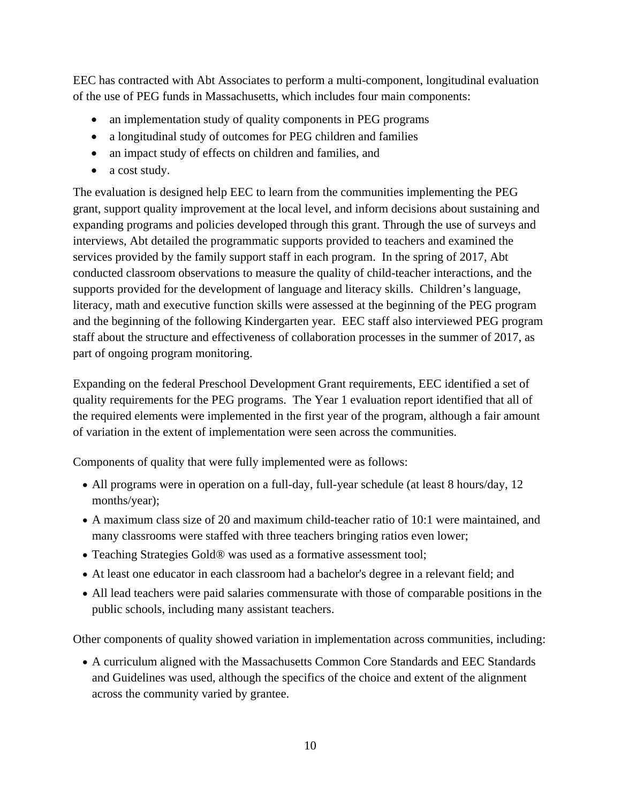EEC has contracted with Abt Associates to perform a multi-component, longitudinal evaluation of the use of PEG funds in Massachusetts, which includes four main components:

- an implementation study of quality components in PEG programs
- a longitudinal study of outcomes for PEG children and families
- an impact study of effects on children and families, and
- a cost study.

The evaluation is designed help EEC to learn from the communities implementing the PEG grant, support quality improvement at the local level, and inform decisions about sustaining and expanding programs and policies developed through this grant. Through the use of surveys and interviews, Abt detailed the programmatic supports provided to teachers and examined the services provided by the family support staff in each program. In the spring of 2017, Abt conducted classroom observations to measure the quality of child-teacher interactions, and the supports provided for the development of language and literacy skills. Children's language, literacy, math and executive function skills were assessed at the beginning of the PEG program and the beginning of the following Kindergarten year. EEC staff also interviewed PEG program staff about the structure and effectiveness of collaboration processes in the summer of 2017, as part of ongoing program monitoring.

Expanding on the federal Preschool Development Grant requirements, EEC identified a set of quality requirements for the PEG programs. The Year 1 evaluation report identified that all of the required elements were implemented in the first year of the program, although a fair amount of variation in the extent of implementation were seen across the communities.

Components of quality that were fully implemented were as follows:

- All programs were in operation on a full-day, full-year schedule (at least 8 hours/day, 12 months/year);
- A maximum class size of 20 and maximum child-teacher ratio of 10:1 were maintained, and many classrooms were staffed with three teachers bringing ratios even lower;
- Teaching Strategies Gold® was used as a formative assessment tool;
- At least one educator in each classroom had a bachelor's degree in a relevant field; and
- All lead teachers were paid salaries commensurate with those of comparable positions in the public schools, including many assistant teachers.

Other components of quality showed variation in implementation across communities, including:

 A curriculum aligned with the Massachusetts Common Core Standards and EEC Standards and Guidelines was used, although the specifics of the choice and extent of the alignment across the community varied by grantee.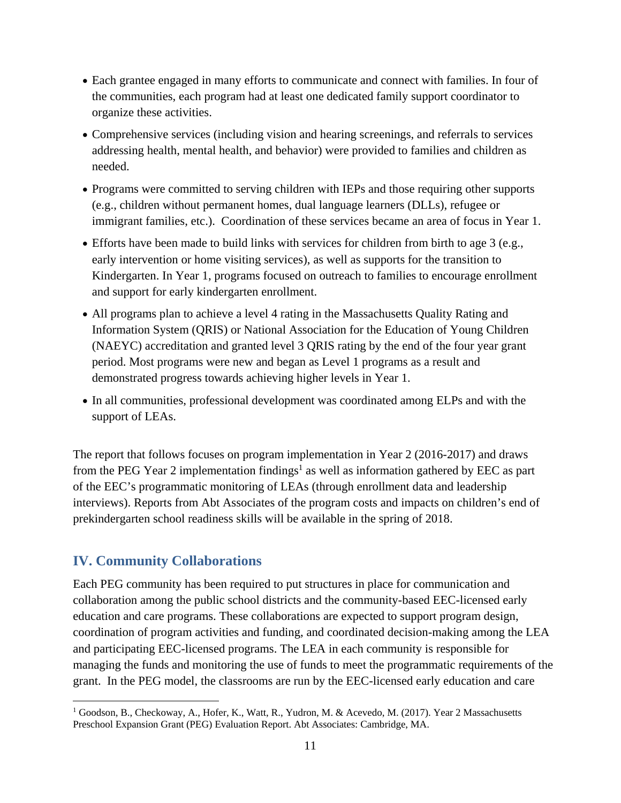- Each grantee engaged in many efforts to communicate and connect with families. In four of the communities, each program had at least one dedicated family support coordinator to organize these activities.
- Comprehensive services (including vision and hearing screenings, and referrals to services addressing health, mental health, and behavior) were provided to families and children as needed.
- Programs were committed to serving children with IEPs and those requiring other supports (e.g., children without permanent homes, dual language learners (DLLs), refugee or immigrant families, etc.). Coordination of these services became an area of focus in Year 1.
- Efforts have been made to build links with services for children from birth to age 3 (e.g., early intervention or home visiting services), as well as supports for the transition to Kindergarten. In Year 1, programs focused on outreach to families to encourage enrollment and support for early kindergarten enrollment.
- All programs plan to achieve a level 4 rating in the Massachusetts Quality Rating and Information System (QRIS) or National Association for the Education of Young Children (NAEYC) accreditation and granted level 3 QRIS rating by the end of the four year grant period. Most programs were new and began as Level 1 programs as a result and demonstrated progress towards achieving higher levels in Year 1.
- In all communities, professional development was coordinated among ELPs and with the support of LEAs.

The report that follows focuses on program implementation in Year 2 (2016-2017) and draws from the PEG Year 2 implementation findings<sup>1</sup> as well as information gathered by EEC as part of the EEC's programmatic monitoring of LEAs (through enrollment data and leadership interviews). Reports from Abt Associates of the program costs and impacts on children's end of prekindergarten school readiness skills will be available in the spring of 2018.

# **IV. Community Collaborations**

 $\overline{a}$ 

Each PEG community has been required to put structures in place for communication and collaboration among the public school districts and the community-based EEC-licensed early education and care programs. These collaborations are expected to support program design, coordination of program activities and funding, and coordinated decision-making among the LEA and participating EEC-licensed programs. The LEA in each community is responsible for managing the funds and monitoring the use of funds to meet the programmatic requirements of the grant. In the PEG model, the classrooms are run by the EEC-licensed early education and care

<sup>&</sup>lt;sup>1</sup> Goodson, B., Checkoway, A., Hofer, K., Watt, R., Yudron, M. & Acevedo, M. (2017). Year 2 Massachusetts Preschool Expansion Grant (PEG) Evaluation Report. Abt Associates: Cambridge, MA.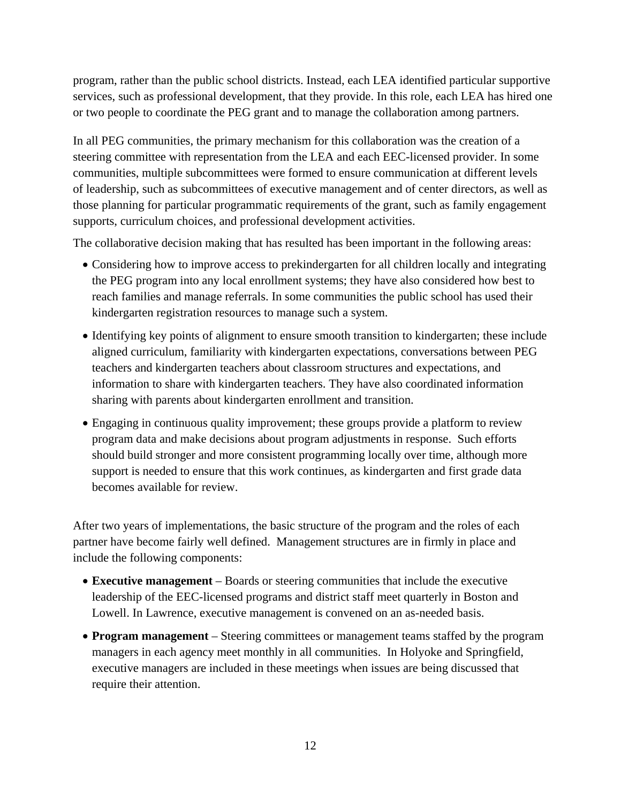program, rather than the public school districts. Instead, each LEA identified particular supportive services, such as professional development, that they provide. In this role, each LEA has hired one or two people to coordinate the PEG grant and to manage the collaboration among partners.

In all PEG communities, the primary mechanism for this collaboration was the creation of a steering committee with representation from the LEA and each EEC-licensed provider. In some communities, multiple subcommittees were formed to ensure communication at different levels of leadership, such as subcommittees of executive management and of center directors, as well as those planning for particular programmatic requirements of the grant, such as family engagement supports, curriculum choices, and professional development activities.

The collaborative decision making that has resulted has been important in the following areas:

- Considering how to improve access to prekindergarten for all children locally and integrating the PEG program into any local enrollment systems; they have also considered how best to reach families and manage referrals. In some communities the public school has used their kindergarten registration resources to manage such a system.
- Identifying key points of alignment to ensure smooth transition to kindergarten; these include aligned curriculum, familiarity with kindergarten expectations, conversations between PEG teachers and kindergarten teachers about classroom structures and expectations, and information to share with kindergarten teachers. They have also coordinated information sharing with parents about kindergarten enrollment and transition.
- Engaging in continuous quality improvement; these groups provide a platform to review program data and make decisions about program adjustments in response. Such efforts should build stronger and more consistent programming locally over time, although more support is needed to ensure that this work continues, as kindergarten and first grade data becomes available for review.

After two years of implementations, the basic structure of the program and the roles of each partner have become fairly well defined. Management structures are in firmly in place and include the following components:

- **Executive management** Boards or steering communities that include the executive leadership of the EEC-licensed programs and district staff meet quarterly in Boston and Lowell. In Lawrence, executive management is convened on an as-needed basis.
- **Program management** Steering committees or management teams staffed by the program managers in each agency meet monthly in all communities. In Holyoke and Springfield, executive managers are included in these meetings when issues are being discussed that require their attention.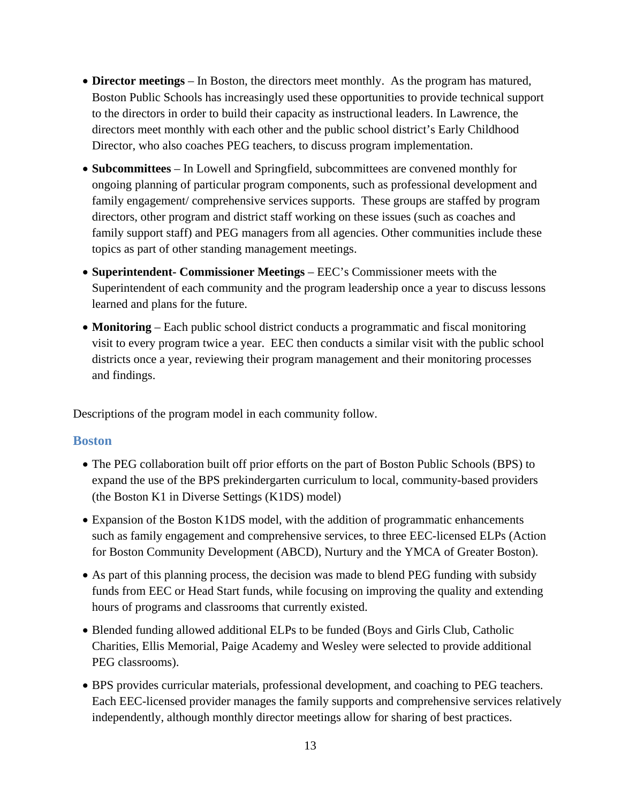- **Director meetings** In Boston, the directors meet monthly. As the program has matured, Boston Public Schools has increasingly used these opportunities to provide technical support to the directors in order to build their capacity as instructional leaders. In Lawrence, the directors meet monthly with each other and the public school district's Early Childhood Director, who also coaches PEG teachers, to discuss program implementation.
- **Subcommittees** In Lowell and Springfield, subcommittees are convened monthly for ongoing planning of particular program components, such as professional development and family engagement/ comprehensive services supports. These groups are staffed by program directors, other program and district staff working on these issues (such as coaches and family support staff) and PEG managers from all agencies. Other communities include these topics as part of other standing management meetings.
- **Superintendent- Commissioner Meetings** EEC's Commissioner meets with the Superintendent of each community and the program leadership once a year to discuss lessons learned and plans for the future.
- **Monitoring** Each public school district conducts a programmatic and fiscal monitoring visit to every program twice a year. EEC then conducts a similar visit with the public school districts once a year, reviewing their program management and their monitoring processes and findings.

Descriptions of the program model in each community follow.

#### **Boston**

- The PEG collaboration built off prior efforts on the part of Boston Public Schools (BPS) to expand the use of the BPS prekindergarten curriculum to local, community-based providers (the Boston K1 in Diverse Settings (K1DS) model)
- Expansion of the Boston K1DS model, with the addition of programmatic enhancements such as family engagement and comprehensive services, to three EEC-licensed ELPs (Action for Boston Community Development (ABCD), Nurtury and the YMCA of Greater Boston).
- As part of this planning process, the decision was made to blend PEG funding with subsidy funds from EEC or Head Start funds, while focusing on improving the quality and extending hours of programs and classrooms that currently existed.
- Blended funding allowed additional ELPs to be funded (Boys and Girls Club, Catholic Charities, Ellis Memorial, Paige Academy and Wesley were selected to provide additional PEG classrooms).
- BPS provides curricular materials, professional development, and coaching to PEG teachers. Each EEC-licensed provider manages the family supports and comprehensive services relatively independently, although monthly director meetings allow for sharing of best practices.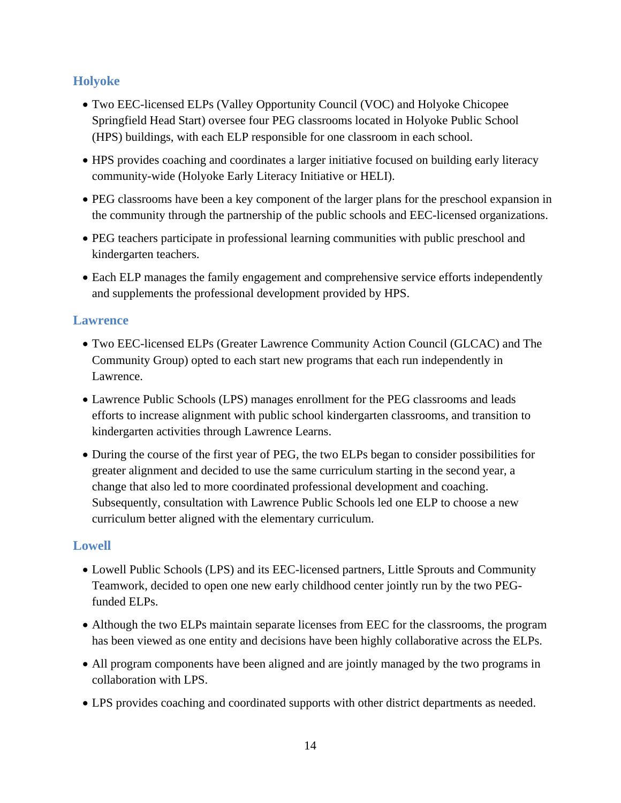# **Holyoke**

- Two EEC-licensed ELPs (Valley Opportunity Council (VOC) and Holyoke Chicopee Springfield Head Start) oversee four PEG classrooms located in Holyoke Public School (HPS) buildings, with each ELP responsible for one classroom in each school.
- HPS provides coaching and coordinates a larger initiative focused on building early literacy community-wide (Holyoke Early Literacy Initiative or HELI).
- PEG classrooms have been a key component of the larger plans for the preschool expansion in the community through the partnership of the public schools and EEC-licensed organizations.
- PEG teachers participate in professional learning communities with public preschool and kindergarten teachers.
- Each ELP manages the family engagement and comprehensive service efforts independently and supplements the professional development provided by HPS.

### **Lawrence**

- Two EEC-licensed ELPs (Greater Lawrence Community Action Council (GLCAC) and The Community Group) opted to each start new programs that each run independently in Lawrence.
- Lawrence Public Schools (LPS) manages enrollment for the PEG classrooms and leads efforts to increase alignment with public school kindergarten classrooms, and transition to kindergarten activities through Lawrence Learns.
- During the course of the first year of PEG, the two ELPs began to consider possibilities for greater alignment and decided to use the same curriculum starting in the second year, a change that also led to more coordinated professional development and coaching. Subsequently, consultation with Lawrence Public Schools led one ELP to choose a new curriculum better aligned with the elementary curriculum.

### **Lowell**

- Lowell Public Schools (LPS) and its EEC-licensed partners, Little Sprouts and Community Teamwork, decided to open one new early childhood center jointly run by the two PEGfunded ELPs.
- Although the two ELPs maintain separate licenses from EEC for the classrooms, the program has been viewed as one entity and decisions have been highly collaborative across the ELPs.
- All program components have been aligned and are jointly managed by the two programs in collaboration with LPS.
- LPS provides coaching and coordinated supports with other district departments as needed.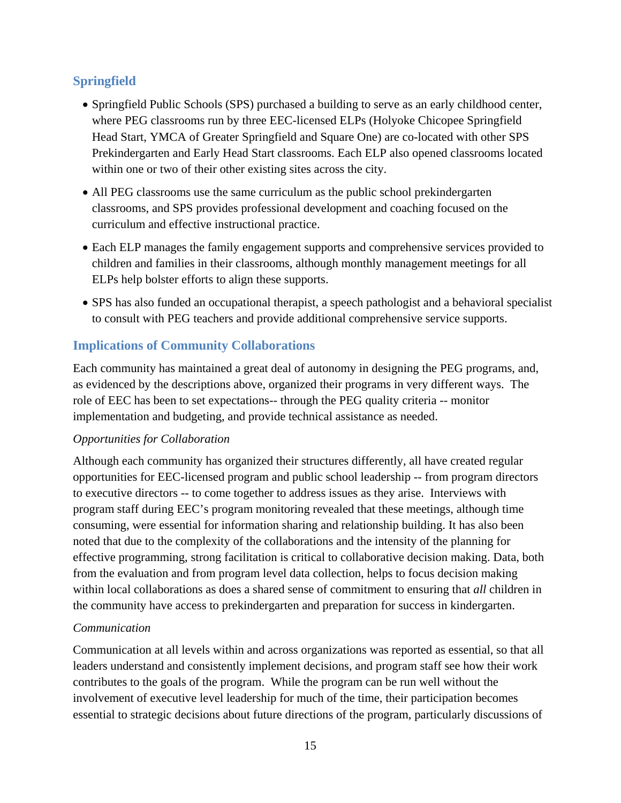# **Springfield**

- Springfield Public Schools (SPS) purchased a building to serve as an early childhood center, where PEG classrooms run by three EEC-licensed ELPs (Holyoke Chicopee Springfield Head Start, YMCA of Greater Springfield and Square One) are co-located with other SPS Prekindergarten and Early Head Start classrooms. Each ELP also opened classrooms located within one or two of their other existing sites across the city.
- All PEG classrooms use the same curriculum as the public school prekindergarten classrooms, and SPS provides professional development and coaching focused on the curriculum and effective instructional practice.
- Each ELP manages the family engagement supports and comprehensive services provided to children and families in their classrooms, although monthly management meetings for all ELPs help bolster efforts to align these supports.
- SPS has also funded an occupational therapist, a speech pathologist and a behavioral specialist to consult with PEG teachers and provide additional comprehensive service supports.

# **Implications of Community Collaborations**

Each community has maintained a great deal of autonomy in designing the PEG programs, and, as evidenced by the descriptions above, organized their programs in very different ways. The role of EEC has been to set expectations-- through the PEG quality criteria -- monitor implementation and budgeting, and provide technical assistance as needed.

### *Opportunities for Collaboration*

Although each community has organized their structures differently, all have created regular opportunities for EEC-licensed program and public school leadership -- from program directors to executive directors -- to come together to address issues as they arise. Interviews with program staff during EEC's program monitoring revealed that these meetings, although time consuming, were essential for information sharing and relationship building. It has also been noted that due to the complexity of the collaborations and the intensity of the planning for effective programming, strong facilitation is critical to collaborative decision making. Data, both from the evaluation and from program level data collection, helps to focus decision making within local collaborations as does a shared sense of commitment to ensuring that *all* children in the community have access to prekindergarten and preparation for success in kindergarten.

### *Communication*

Communication at all levels within and across organizations was reported as essential, so that all leaders understand and consistently implement decisions, and program staff see how their work contributes to the goals of the program. While the program can be run well without the involvement of executive level leadership for much of the time, their participation becomes essential to strategic decisions about future directions of the program, particularly discussions of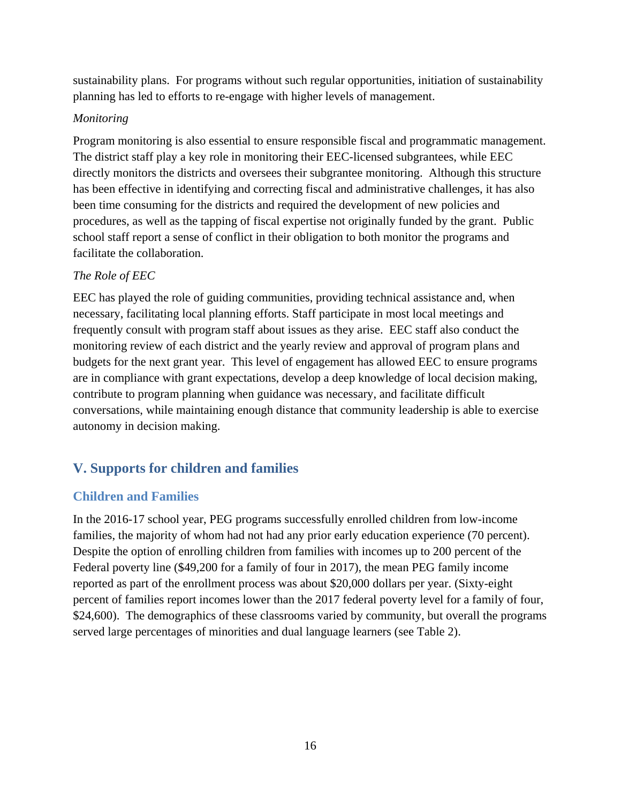sustainability plans. For programs without such regular opportunities, initiation of sustainability planning has led to efforts to re-engage with higher levels of management.

### *Monitoring*

Program monitoring is also essential to ensure responsible fiscal and programmatic management. The district staff play a key role in monitoring their EEC-licensed subgrantees, while EEC directly monitors the districts and oversees their subgrantee monitoring. Although this structure has been effective in identifying and correcting fiscal and administrative challenges, it has also been time consuming for the districts and required the development of new policies and procedures, as well as the tapping of fiscal expertise not originally funded by the grant. Public school staff report a sense of conflict in their obligation to both monitor the programs and facilitate the collaboration.

### *The Role of EEC*

EEC has played the role of guiding communities, providing technical assistance and, when necessary, facilitating local planning efforts. Staff participate in most local meetings and frequently consult with program staff about issues as they arise. EEC staff also conduct the monitoring review of each district and the yearly review and approval of program plans and budgets for the next grant year. This level of engagement has allowed EEC to ensure programs are in compliance with grant expectations, develop a deep knowledge of local decision making, contribute to program planning when guidance was necessary, and facilitate difficult conversations, while maintaining enough distance that community leadership is able to exercise autonomy in decision making.

# **V. Supports for children and families**

# **Children and Families**

In the 2016-17 school year, PEG programs successfully enrolled children from low-income families, the majority of whom had not had any prior early education experience (70 percent). Despite the option of enrolling children from families with incomes up to 200 percent of the Federal poverty line (\$49,200 for a family of four in 2017), the mean PEG family income reported as part of the enrollment process was about \$20,000 dollars per year. (Sixty-eight percent of families report incomes lower than the 2017 federal poverty level for a family of four, \$24,600). The demographics of these classrooms varied by community, but overall the programs served large percentages of minorities and dual language learners (see Table 2).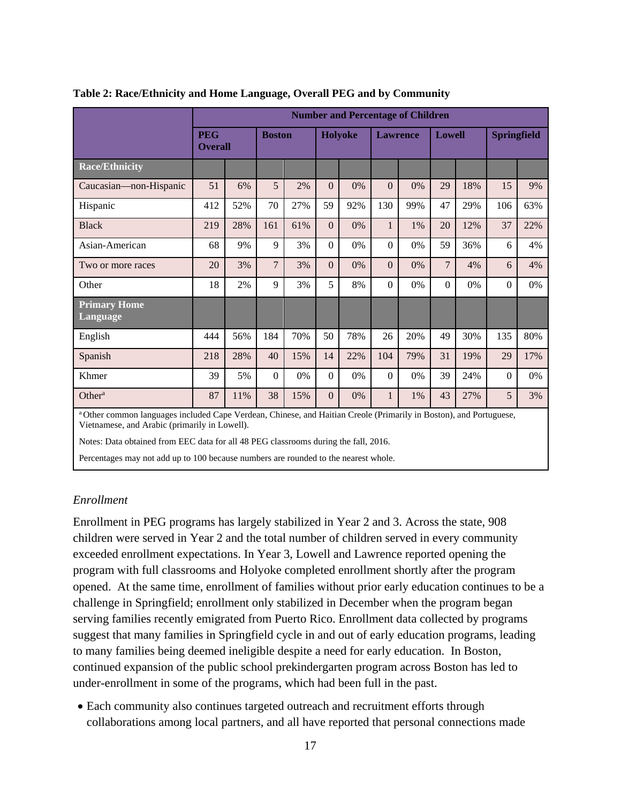|                                 | <b>Number and Percentage of Children</b> |     |                |     |                |                |                 |     |                |     |                    |     |
|---------------------------------|------------------------------------------|-----|----------------|-----|----------------|----------------|-----------------|-----|----------------|-----|--------------------|-----|
|                                 | <b>PEG</b><br><b>Overall</b>             |     | <b>Boston</b>  |     |                | <b>Holyoke</b> | <b>Lawrence</b> |     | <b>Lowell</b>  |     | <b>Springfield</b> |     |
| <b>Race/Ethnicity</b>           |                                          |     |                |     |                |                |                 |     |                |     |                    |     |
| Caucasian-non-Hispanic          | 51                                       | 6%  | 5              | 2%  | $\overline{0}$ | 0%             | $\theta$        | 0%  | 29             | 18% | 15                 | 9%  |
| Hispanic                        | 412                                      | 52% | 70             | 27% | 59             | 92%            | 130             | 99% | 47             | 29% | 106                | 63% |
| <b>Black</b>                    | 219                                      | 28% | 161            | 61% | $\overline{0}$ | 0%             | 1               | 1%  | 20             | 12% | 37                 | 22% |
| Asian-American                  | 68                                       | 9%  | 9              | 3%  | $\theta$       | 0%             | $\Omega$        | 0%  | 59             | 36% | 6                  | 4%  |
| Two or more races               | 20                                       | 3%  | $\overline{7}$ | 3%  | $\Omega$       | 0%             | $\Omega$        | 0%  | $\overline{7}$ | 4%  | 6                  | 4%  |
| Other                           | 18                                       | 2%  | 9              | 3%  | 5              | 8%             | $\Omega$        | 0%  | $\Omega$       | 0%  | $\theta$           | 0%  |
| <b>Primary Home</b><br>Language |                                          |     |                |     |                |                |                 |     |                |     |                    |     |
| English                         | 444                                      | 56% | 184            | 70% | 50             | 78%            | 26              | 20% | 49             | 30% | 135                | 80% |
| Spanish                         | 218                                      | 28% | 40             | 15% | 14             | 22%            | 104             | 79% | 31             | 19% | 29                 | 17% |
| Khmer                           | 39                                       | 5%  | $\Omega$       | 0%  | $\theta$       | 0%             | $\theta$        | 0%  | 39             | 24% | $\theta$           | 0%  |
| Other <sup>a</sup>              | 87                                       | 11% | 38             | 15% | $\overline{0}$ | 0%             |                 | 1%  | 43             | 27% | 5                  | 3%  |

#### **Table 2: Race/Ethnicity and Home Language, Overall PEG and by Community**

a Other common languages included Cape Verdean, Chinese, and Haitian Creole (Primarily in Boston), and Portuguese, Vietnamese, and Arabic (primarily in Lowell).

Notes: Data obtained from EEC data for all 48 PEG classrooms during the fall, 2016.

Percentages may not add up to 100 because numbers are rounded to the nearest whole.

#### *Enrollment*

Enrollment in PEG programs has largely stabilized in Year 2 and 3. Across the state, 908 children were served in Year 2 and the total number of children served in every community exceeded enrollment expectations. In Year 3, Lowell and Lawrence reported opening the program with full classrooms and Holyoke completed enrollment shortly after the program opened. At the same time, enrollment of families without prior early education continues to be a challenge in Springfield; enrollment only stabilized in December when the program began serving families recently emigrated from Puerto Rico. Enrollment data collected by programs suggest that many families in Springfield cycle in and out of early education programs, leading to many families being deemed ineligible despite a need for early education. In Boston, continued expansion of the public school prekindergarten program across Boston has led to under-enrollment in some of the programs, which had been full in the past.

 Each community also continues targeted outreach and recruitment efforts through collaborations among local partners, and all have reported that personal connections made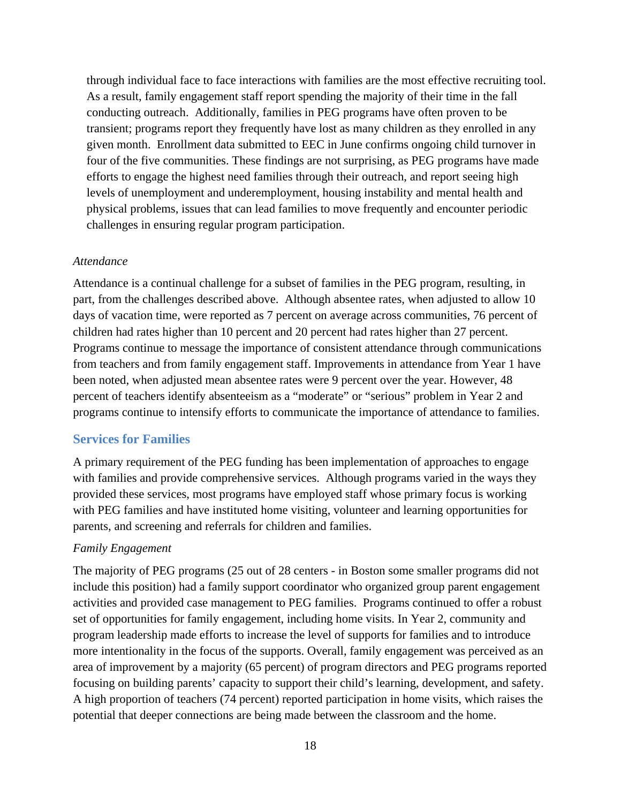through individual face to face interactions with families are the most effective recruiting tool. As a result, family engagement staff report spending the majority of their time in the fall conducting outreach. Additionally, families in PEG programs have often proven to be transient; programs report they frequently have lost as many children as they enrolled in any given month. Enrollment data submitted to EEC in June confirms ongoing child turnover in four of the five communities. These findings are not surprising, as PEG programs have made efforts to engage the highest need families through their outreach, and report seeing high levels of unemployment and underemployment, housing instability and mental health and physical problems, issues that can lead families to move frequently and encounter periodic challenges in ensuring regular program participation.

#### *Attendance*

Attendance is a continual challenge for a subset of families in the PEG program, resulting, in part, from the challenges described above. Although absentee rates, when adjusted to allow 10 days of vacation time, were reported as 7 percent on average across communities, 76 percent of children had rates higher than 10 percent and 20 percent had rates higher than 27 percent. Programs continue to message the importance of consistent attendance through communications from teachers and from family engagement staff. Improvements in attendance from Year 1 have been noted, when adjusted mean absentee rates were 9 percent over the year. However, 48 percent of teachers identify absenteeism as a "moderate" or "serious" problem in Year 2 and programs continue to intensify efforts to communicate the importance of attendance to families.

#### **Services for Families**

A primary requirement of the PEG funding has been implementation of approaches to engage with families and provide comprehensive services. Although programs varied in the ways they provided these services, most programs have employed staff whose primary focus is working with PEG families and have instituted home visiting, volunteer and learning opportunities for parents, and screening and referrals for children and families.

#### *Family Engagement*

The majority of PEG programs (25 out of 28 centers - in Boston some smaller programs did not include this position) had a family support coordinator who organized group parent engagement activities and provided case management to PEG families. Programs continued to offer a robust set of opportunities for family engagement, including home visits. In Year 2, community and program leadership made efforts to increase the level of supports for families and to introduce more intentionality in the focus of the supports. Overall, family engagement was perceived as an area of improvement by a majority (65 percent) of program directors and PEG programs reported focusing on building parents' capacity to support their child's learning, development, and safety. A high proportion of teachers (74 percent) reported participation in home visits, which raises the potential that deeper connections are being made between the classroom and the home.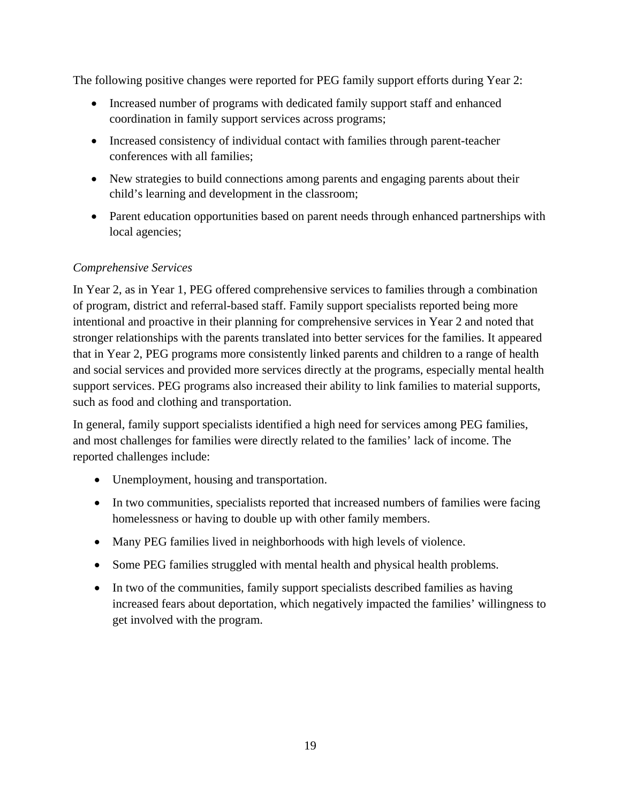The following positive changes were reported for PEG family support efforts during Year 2:

- Increased number of programs with dedicated family support staff and enhanced coordination in family support services across programs;
- Increased consistency of individual contact with families through parent-teacher conferences with all families;
- New strategies to build connections among parents and engaging parents about their child's learning and development in the classroom;
- Parent education opportunities based on parent needs through enhanced partnerships with local agencies;

### *Comprehensive Services*

In Year 2, as in Year 1, PEG offered comprehensive services to families through a combination of program, district and referral-based staff. Family support specialists reported being more intentional and proactive in their planning for comprehensive services in Year 2 and noted that stronger relationships with the parents translated into better services for the families. It appeared that in Year 2, PEG programs more consistently linked parents and children to a range of health and social services and provided more services directly at the programs, especially mental health support services. PEG programs also increased their ability to link families to material supports, such as food and clothing and transportation.

In general, family support specialists identified a high need for services among PEG families, and most challenges for families were directly related to the families' lack of income. The reported challenges include:

- Unemployment, housing and transportation.
- In two communities, specialists reported that increased numbers of families were facing homelessness or having to double up with other family members.
- Many PEG families lived in neighborhoods with high levels of violence.
- Some PEG families struggled with mental health and physical health problems.
- In two of the communities, family support specialists described families as having increased fears about deportation, which negatively impacted the families' willingness to get involved with the program.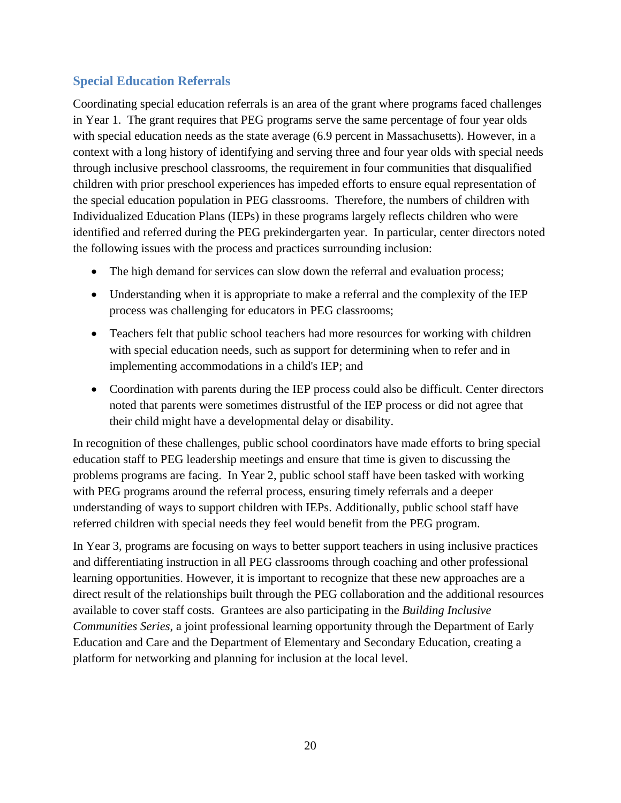# **Special Education Referrals**

Coordinating special education referrals is an area of the grant where programs faced challenges in Year 1. The grant requires that PEG programs serve the same percentage of four year olds with special education needs as the state average (6.9 percent in Massachusetts). However, in a context with a long history of identifying and serving three and four year olds with special needs through inclusive preschool classrooms, the requirement in four communities that disqualified children with prior preschool experiences has impeded efforts to ensure equal representation of the special education population in PEG classrooms. Therefore, the numbers of children with Individualized Education Plans (IEPs) in these programs largely reflects children who were identified and referred during the PEG prekindergarten year. In particular, center directors noted the following issues with the process and practices surrounding inclusion:

- The high demand for services can slow down the referral and evaluation process;
- Understanding when it is appropriate to make a referral and the complexity of the IEP process was challenging for educators in PEG classrooms;
- Teachers felt that public school teachers had more resources for working with children with special education needs, such as support for determining when to refer and in implementing accommodations in a child's IEP; and
- Coordination with parents during the IEP process could also be difficult. Center directors noted that parents were sometimes distrustful of the IEP process or did not agree that their child might have a developmental delay or disability.

In recognition of these challenges, public school coordinators have made efforts to bring special education staff to PEG leadership meetings and ensure that time is given to discussing the problems programs are facing. In Year 2, public school staff have been tasked with working with PEG programs around the referral process, ensuring timely referrals and a deeper understanding of ways to support children with IEPs. Additionally, public school staff have referred children with special needs they feel would benefit from the PEG program.

In Year 3, programs are focusing on ways to better support teachers in using inclusive practices and differentiating instruction in all PEG classrooms through coaching and other professional learning opportunities. However, it is important to recognize that these new approaches are a direct result of the relationships built through the PEG collaboration and the additional resources available to cover staff costs. Grantees are also participating in the *Building Inclusive Communities Series*, a joint professional learning opportunity through the Department of Early Education and Care and the Department of Elementary and Secondary Education, creating a platform for networking and planning for inclusion at the local level.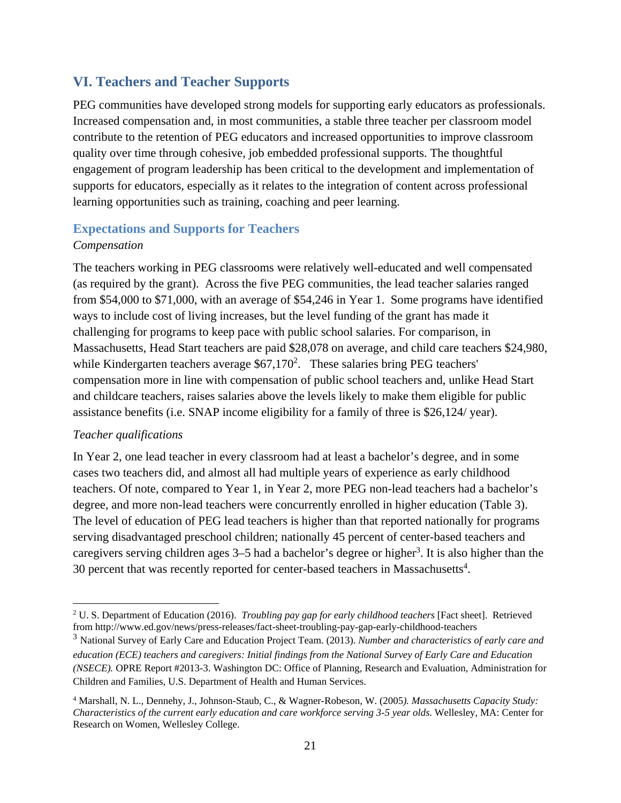# **VI. Teachers and Teacher Supports**

PEG communities have developed strong models for supporting early educators as professionals. Increased compensation and, in most communities, a stable three teacher per classroom model contribute to the retention of PEG educators and increased opportunities to improve classroom quality over time through cohesive, job embedded professional supports. The thoughtful engagement of program leadership has been critical to the development and implementation of supports for educators, especially as it relates to the integration of content across professional learning opportunities such as training, coaching and peer learning.

### **Expectations and Supports for Teachers**  *Compensation*

The teachers working in PEG classrooms were relatively well-educated and well compensated (as required by the grant). Across the five PEG communities, the lead teacher salaries ranged from \$54,000 to \$71,000, with an average of \$54,246 in Year 1. Some programs have identified ways to include cost of living increases, but the level funding of the grant has made it challenging for programs to keep pace with public school salaries. For comparison, in Massachusetts, Head Start teachers are paid \$28,078 on average, and child care teachers \$24,980, while Kindergarten teachers average  $$67,170^2$ . These salaries bring PEG teachers' compensation more in line with compensation of public school teachers and, unlike Head Start and childcare teachers, raises salaries above the levels likely to make them eligible for public assistance benefits (i.e. SNAP income eligibility for a family of three is \$26,124/ year).

### *Teacher qualifications*

 $\overline{a}$ 

In Year 2, one lead teacher in every classroom had at least a bachelor's degree, and in some cases two teachers did, and almost all had multiple years of experience as early childhood teachers. Of note, compared to Year 1, in Year 2, more PEG non-lead teachers had a bachelor's degree, and more non-lead teachers were concurrently enrolled in higher education (Table 3). The level of education of PEG lead teachers is higher than that reported nationally for programs serving disadvantaged preschool children; nationally 45 percent of center-based teachers and caregivers serving children ages 3–5 had a bachelor's degree or higher<sup>3</sup>. It is also higher than the 30 percent that was recently reported for center-based teachers in Massachusetts<sup>4</sup>.

<sup>&</sup>lt;sup>2</sup> U. S. Department of Education (2016). *Troubling pay gap for early childhood teachers* [Fact sheet]. Retrieved from http://www.ed.gov/news/press-releases/fact-sheet-troubling-pay-gap-early-childhood-teachers

<sup>3</sup> National Survey of Early Care and Education Project Team. (2013). *Number and characteristics of early care and education (ECE) teachers and caregivers: Initial findings from the National Survey of Early Care and Education (NSECE).* OPRE Report #2013-3. Washington DC: Office of Planning, Research and Evaluation, Administration for Children and Families, U.S. Department of Health and Human Services.

<sup>4</sup> Marshall, N. L., Dennehy, J., Johnson-Staub, C., & Wagner-Robeson, W. (2005*). Massachusetts Capacity Study: Characteristics of the current early education and care workforce serving 3-5 year olds*. Wellesley, MA: Center for Research on Women, Wellesley College.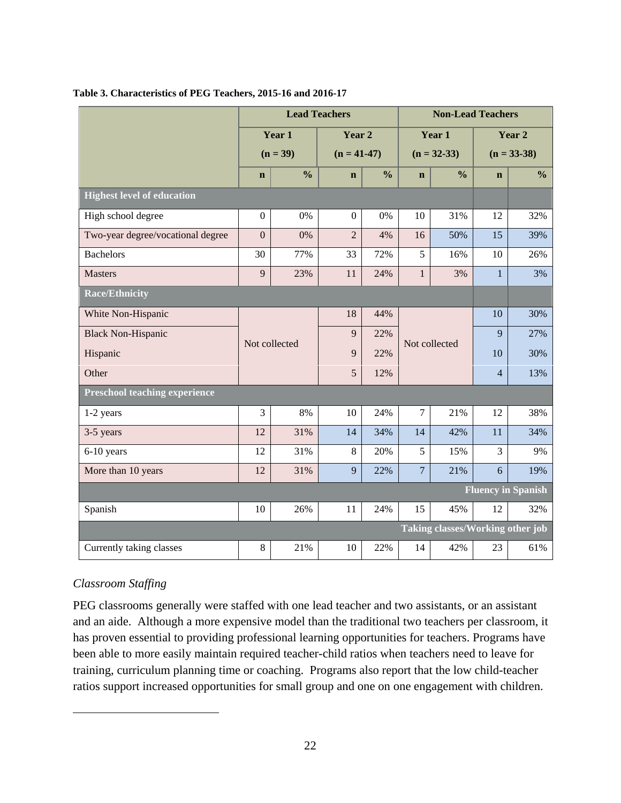|                                      |                |               | <b>Lead Teachers</b> | <b>Non-Lead Teachers</b> |                |                                  |                |                           |  |
|--------------------------------------|----------------|---------------|----------------------|--------------------------|----------------|----------------------------------|----------------|---------------------------|--|
|                                      |                | Year 1        | Year 2               |                          |                | Year 1                           | Year 2         |                           |  |
|                                      |                | $(n = 39)$    | $(n = 41-47)$        |                          |                | $(n = 32 - 33)$                  | $(n = 33-38)$  |                           |  |
|                                      | $\mathbf n$    | $\frac{0}{0}$ | $\mathbf n$          | $\frac{0}{0}$            | $\mathbf n$    | $\frac{0}{0}$                    | $\mathbf n$    | $\frac{0}{0}$             |  |
| <b>Highest level of education</b>    |                |               |                      |                          |                |                                  |                |                           |  |
| High school degree                   | $\overline{0}$ | 0%            | $\mathbf{0}$         | 0%                       | 10             | 31%                              | 12             | 32%                       |  |
| Two-year degree/vocational degree    | $\overline{0}$ | 0%            | $\overline{2}$       | 4%                       | 16             | 50%                              | 15             | 39%                       |  |
| <b>Bachelors</b>                     | 30             | 77%           | 33                   | 72%                      | 5              | 16%                              | 10             | 26%                       |  |
| <b>Masters</b>                       | 9              | 23%           | 11                   | 24%                      | $\mathbf{1}$   | 3%                               | $\mathbf{1}$   | 3%                        |  |
| <b>Race/Ethnicity</b>                |                |               |                      |                          |                |                                  |                |                           |  |
| White Non-Hispanic                   |                |               | 18                   | 44%                      |                |                                  | 10             | 30%                       |  |
| <b>Black Non-Hispanic</b>            | Not collected  |               | $\mathbf{Q}$         | 22%                      |                | Not collected                    | $\mathbf{Q}$   | 27%                       |  |
| Hispanic                             |                |               | 9                    | 22%                      |                |                                  | 10             | 30%                       |  |
| Other                                |                |               | 5                    | 12%                      |                |                                  | $\overline{4}$ | 13%                       |  |
| <b>Preschool teaching experience</b> |                |               |                      |                          |                |                                  |                |                           |  |
| 1-2 years                            | 3              | 8%            | 10                   | 24%                      | $\overline{7}$ | 21%                              | 12             | 38%                       |  |
| 3-5 years                            | 12             | 31%           | 14                   | 34%                      | 14             | 42%                              | 11             | 34%                       |  |
| 6-10 years                           | 12             | 31%           | 8                    | 20%                      | 5              | 15%                              | 3              | 9%                        |  |
| More than 10 years                   | 12             | 31%           | 9                    | 22%                      | $\overline{7}$ | 21%                              | 6              | 19%                       |  |
|                                      |                |               |                      |                          |                |                                  |                | <b>Fluency in Spanish</b> |  |
| Spanish                              | 10             | 26%           | 11                   | 24%                      | 15             | 45%                              | 12             | 32%                       |  |
|                                      |                |               |                      |                          |                | Taking classes/Working other job |                |                           |  |
| Currently taking classes             | $8\,$          | 21%           | 10                   | 22%                      | 14             | 42%                              | 23             | 61%                       |  |

#### **Table 3. Characteristics of PEG Teachers, 2015-16 and 2016-17**

### *Classroom Staffing*

 $\overline{a}$ 

PEG classrooms generally were staffed with one lead teacher and two assistants, or an assistant and an aide. Although a more expensive model than the traditional two teachers per classroom, it has proven essential to providing professional learning opportunities for teachers. Programs have been able to more easily maintain required teacher-child ratios when teachers need to leave for training, curriculum planning time or coaching. Programs also report that the low child-teacher ratios support increased opportunities for small group and one on one engagement with children.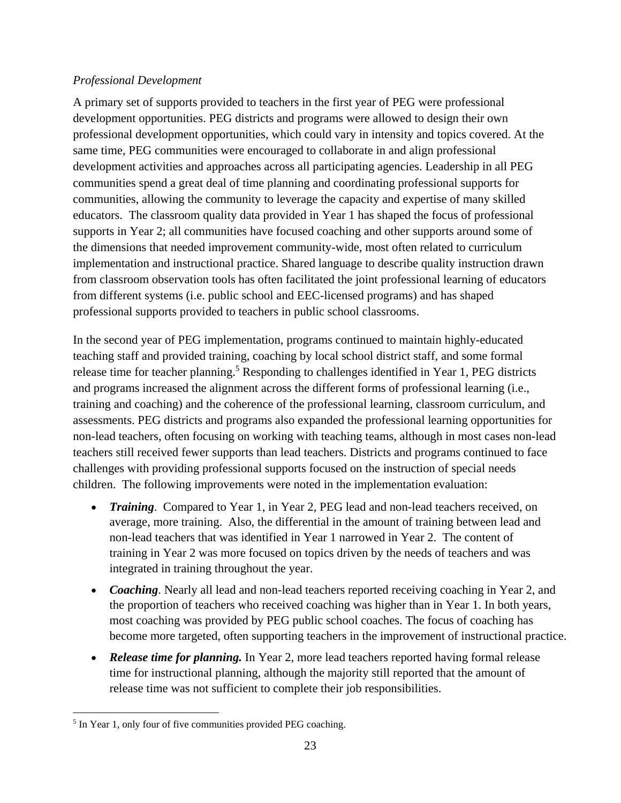### *Professional Development*

A primary set of supports provided to teachers in the first year of PEG were professional development opportunities. PEG districts and programs were allowed to design their own professional development opportunities, which could vary in intensity and topics covered. At the same time, PEG communities were encouraged to collaborate in and align professional development activities and approaches across all participating agencies. Leadership in all PEG communities spend a great deal of time planning and coordinating professional supports for communities, allowing the community to leverage the capacity and expertise of many skilled educators. The classroom quality data provided in Year 1 has shaped the focus of professional supports in Year 2; all communities have focused coaching and other supports around some of the dimensions that needed improvement community-wide, most often related to curriculum implementation and instructional practice. Shared language to describe quality instruction drawn from classroom observation tools has often facilitated the joint professional learning of educators from different systems (i.e. public school and EEC-licensed programs) and has shaped professional supports provided to teachers in public school classrooms.

In the second year of PEG implementation, programs continued to maintain highly-educated teaching staff and provided training, coaching by local school district staff, and some formal release time for teacher planning.<sup>5</sup> Responding to challenges identified in Year 1, PEG districts and programs increased the alignment across the different forms of professional learning (i.e., training and coaching) and the coherence of the professional learning, classroom curriculum, and assessments. PEG districts and programs also expanded the professional learning opportunities for non-lead teachers, often focusing on working with teaching teams, although in most cases non-lead teachers still received fewer supports than lead teachers. Districts and programs continued to face challenges with providing professional supports focused on the instruction of special needs children. The following improvements were noted in the implementation evaluation:

- *Training.* Compared to Year 1, in Year 2, PEG lead and non-lead teachers received, on average, more training. Also, the differential in the amount of training between lead and non-lead teachers that was identified in Year 1 narrowed in Year 2. The content of training in Year 2 was more focused on topics driven by the needs of teachers and was integrated in training throughout the year.
- *Coaching*. Nearly all lead and non-lead teachers reported receiving coaching in Year 2, and the proportion of teachers who received coaching was higher than in Year 1. In both years, most coaching was provided by PEG public school coaches. The focus of coaching has become more targeted, often supporting teachers in the improvement of instructional practice.
- *Release time for planning.* In Year 2, more lead teachers reported having formal release time for instructional planning, although the majority still reported that the amount of release time was not sufficient to complete their job responsibilities.

 $\overline{a}$ <sup>5</sup> In Year 1, only four of five communities provided PEG coaching.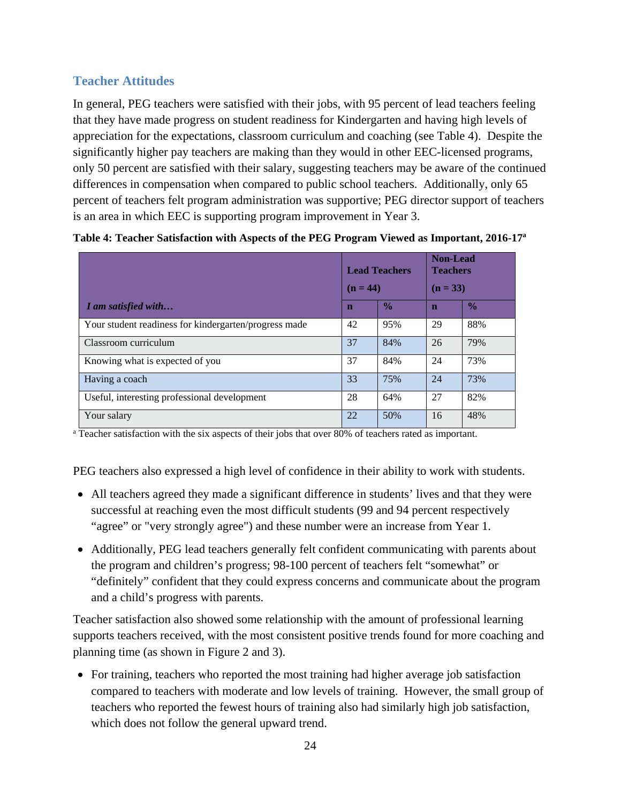# **Teacher Attitudes**

In general, PEG teachers were satisfied with their jobs, with 95 percent of lead teachers feeling that they have made progress on student readiness for Kindergarten and having high levels of appreciation for the expectations, classroom curriculum and coaching (see Table 4). Despite the significantly higher pay teachers are making than they would in other EEC-licensed programs, only 50 percent are satisfied with their salary, suggesting teachers may be aware of the continued differences in compensation when compared to public school teachers. Additionally, only 65 percent of teachers felt program administration was supportive; PEG director support of teachers is an area in which EEC is supporting program improvement in Year 3.

|                                                       | $(n = 44)$  | <b>Lead Teachers</b> | <b>Non-Lead</b><br><b>Teachers</b><br>$(n = 33)$ |               |  |
|-------------------------------------------------------|-------------|----------------------|--------------------------------------------------|---------------|--|
| I am satisfied with                                   | $\mathbf n$ | $\frac{0}{0}$        | $\mathbf n$                                      | $\frac{0}{0}$ |  |
| Your student readiness for kindergarten/progress made | 42          | 95%                  | 29                                               | 88%           |  |
| Classroom curriculum                                  | 37          | 84%                  | 26                                               | 79%           |  |
| Knowing what is expected of you                       | 37          | 84%                  | 24                                               | 73%           |  |
| Having a coach                                        | 33          | 75%                  | 24                                               | 73%           |  |
| Useful, interesting professional development          | 28          | 64%                  | 27                                               | 82%           |  |
| Your salary                                           | 22          | 50%                  | 16                                               | 48%           |  |

|  |  |  | Table 4: Teacher Satisfaction with Aspects of the PEG Program Viewed as Important, 2016-17 <sup>a</sup> |
|--|--|--|---------------------------------------------------------------------------------------------------------|
|--|--|--|---------------------------------------------------------------------------------------------------------|

<sup>a</sup> Teacher satisfaction with the six aspects of their jobs that over 80% of teachers rated as important.

PEG teachers also expressed a high level of confidence in their ability to work with students.

- All teachers agreed they made a significant difference in students' lives and that they were successful at reaching even the most difficult students (99 and 94 percent respectively "agree" or "very strongly agree") and these number were an increase from Year 1.
- Additionally, PEG lead teachers generally felt confident communicating with parents about the program and children's progress; 98-100 percent of teachers felt "somewhat" or "definitely" confident that they could express concerns and communicate about the program and a child's progress with parents.

Teacher satisfaction also showed some relationship with the amount of professional learning supports teachers received, with the most consistent positive trends found for more coaching and planning time (as shown in Figure 2 and 3).

• For training, teachers who reported the most training had higher average job satisfaction compared to teachers with moderate and low levels of training. However, the small group of teachers who reported the fewest hours of training also had similarly high job satisfaction, which does not follow the general upward trend.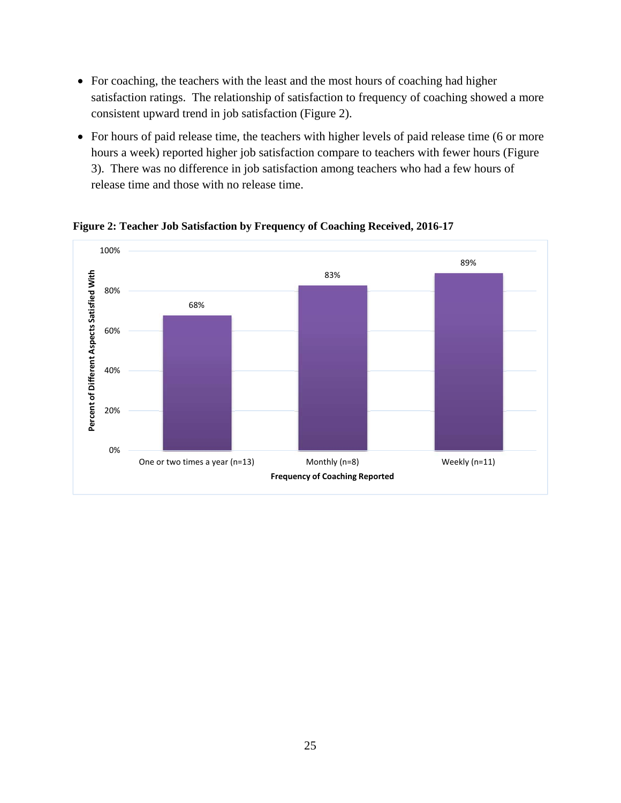- For coaching, the teachers with the least and the most hours of coaching had higher satisfaction ratings. The relationship of satisfaction to frequency of coaching showed a more consistent upward trend in job satisfaction (Figure 2).
- For hours of paid release time, the teachers with higher levels of paid release time (6 or more hours a week) reported higher job satisfaction compare to teachers with fewer hours (Figure 3). There was no difference in job satisfaction among teachers who had a few hours of release time and those with no release time.



**Figure 2: Teacher Job Satisfaction by Frequency of Coaching Received, 2016-17**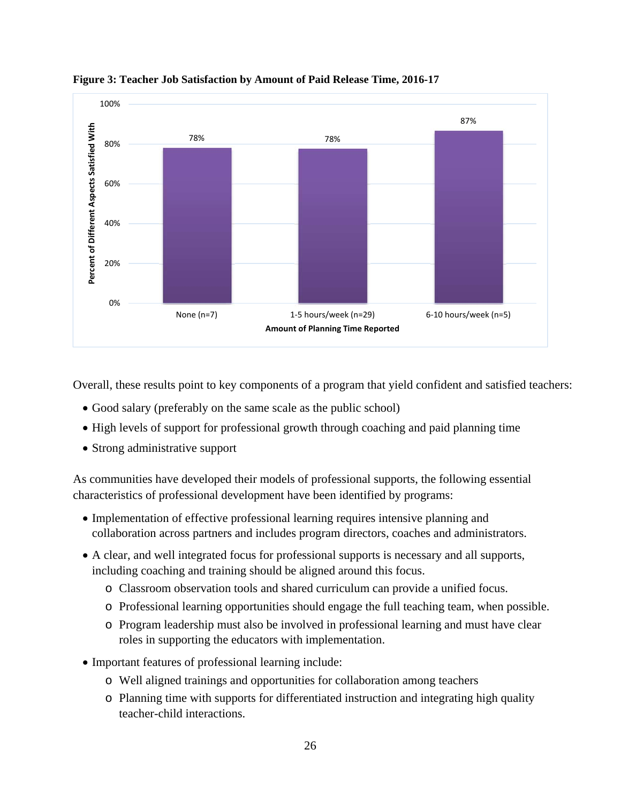

**Figure 3: Teacher Job Satisfaction by Amount of Paid Release Time, 2016-17** 

Overall, these results point to key components of a program that yield confident and satisfied teachers:

- Good salary (preferably on the same scale as the public school)
- High levels of support for professional growth through coaching and paid planning time
- Strong administrative support

As communities have developed their models of professional supports, the following essential characteristics of professional development have been identified by programs:

- Implementation of effective professional learning requires intensive planning and collaboration across partners and includes program directors, coaches and administrators.
- A clear, and well integrated focus for professional supports is necessary and all supports, including coaching and training should be aligned around this focus.
	- o Classroom observation tools and shared curriculum can provide a unified focus.
	- o Professional learning opportunities should engage the full teaching team, when possible.
	- o Program leadership must also be involved in professional learning and must have clear roles in supporting the educators with implementation.
- Important features of professional learning include:
	- o Well aligned trainings and opportunities for collaboration among teachers
	- o Planning time with supports for differentiated instruction and integrating high quality teacher-child interactions.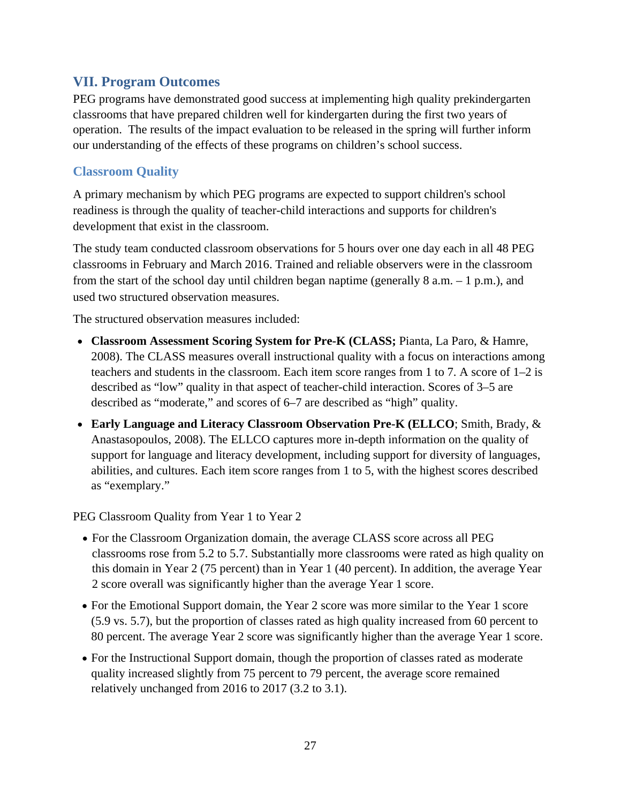# **VII. Program Outcomes**

PEG programs have demonstrated good success at implementing high quality prekindergarten classrooms that have prepared children well for kindergarten during the first two years of operation. The results of the impact evaluation to be released in the spring will further inform our understanding of the effects of these programs on children's school success.

## **Classroom Quality**

A primary mechanism by which PEG programs are expected to support children's school readiness is through the quality of teacher-child interactions and supports for children's development that exist in the classroom.

The study team conducted classroom observations for 5 hours over one day each in all 48 PEG classrooms in February and March 2016. Trained and reliable observers were in the classroom from the start of the school day until children began naptime (generally 8 a.m. – 1 p.m.), and used two structured observation measures.

The structured observation measures included:

- **Classroom Assessment Scoring System for Pre-K (CLASS;** Pianta, La Paro, & Hamre, 2008). The CLASS measures overall instructional quality with a focus on interactions among teachers and students in the classroom. Each item score ranges from 1 to 7. A score of 1–2 is described as "low" quality in that aspect of teacher-child interaction. Scores of 3–5 are described as "moderate," and scores of 6–7 are described as "high" quality.
- **Early Language and Literacy Classroom Observation Pre-K (ELLCO**; Smith, Brady, & Anastasopoulos, 2008). The ELLCO captures more in-depth information on the quality of support for language and literacy development, including support for diversity of languages, abilities, and cultures. Each item score ranges from 1 to 5, with the highest scores described as "exemplary."

PEG Classroom Quality from Year 1 to Year 2

- For the Classroom Organization domain, the average CLASS score across all PEG classrooms rose from 5.2 to 5.7. Substantially more classrooms were rated as high quality on this domain in Year 2 (75 percent) than in Year 1 (40 percent). In addition, the average Year 2 score overall was significantly higher than the average Year 1 score.
- For the Emotional Support domain, the Year 2 score was more similar to the Year 1 score (5.9 vs. 5.7), but the proportion of classes rated as high quality increased from 60 percent to 80 percent. The average Year 2 score was significantly higher than the average Year 1 score.
- For the Instructional Support domain, though the proportion of classes rated as moderate quality increased slightly from 75 percent to 79 percent, the average score remained relatively unchanged from 2016 to 2017 (3.2 to 3.1).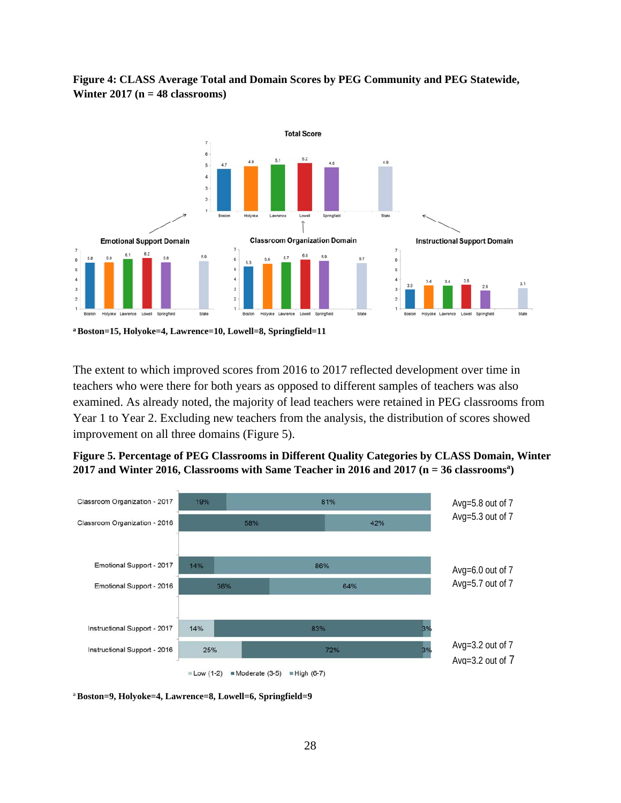

**Figure 4: CLASS Average Total and Domain Scores by PEG Community and PEG Statewide, Winter 2017 (n = 48 classrooms)**

**a Boston=15, Holyoke=4, Lawrence=10, Lowell=8, Springfield=11** 

The extent to which improved scores from 2016 to 2017 reflected development over time in teachers who were there for both years as opposed to different samples of teachers was also examined. As already noted, the majority of lead teachers were retained in PEG classrooms from Year 1 to Year 2. Excluding new teachers from the analysis, the distribution of scores showed improvement on all three domains (Figure 5).





<sup>a</sup>**Boston=9, Holyoke=4, Lawrence=8, Lowell=6, Springfield=9**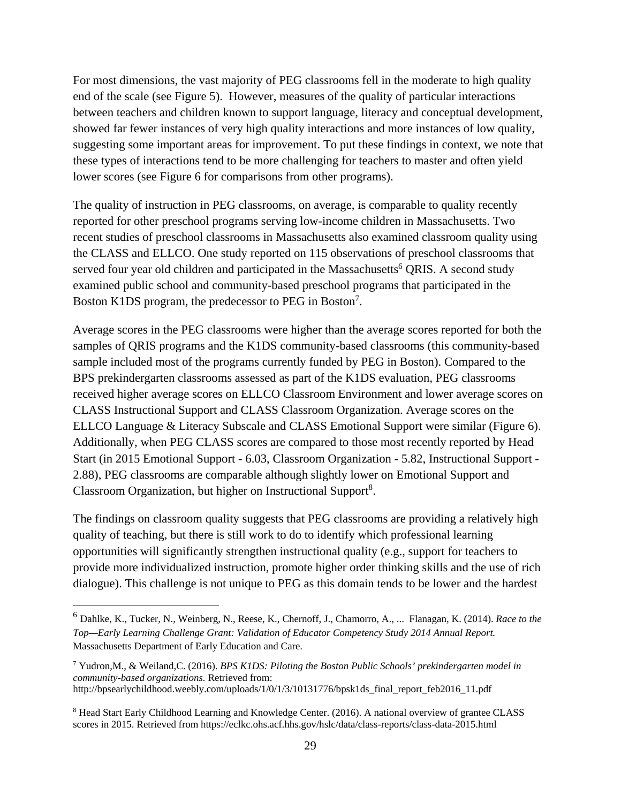For most dimensions, the vast majority of PEG classrooms fell in the moderate to high quality end of the scale (see Figure 5). However, measures of the quality of particular interactions between teachers and children known to support language, literacy and conceptual development, showed far fewer instances of very high quality interactions and more instances of low quality, suggesting some important areas for improvement. To put these findings in context, we note that these types of interactions tend to be more challenging for teachers to master and often yield lower scores (see Figure 6 for comparisons from other programs).

The quality of instruction in PEG classrooms, on average, is comparable to quality recently reported for other preschool programs serving low-income children in Massachusetts. Two recent studies of preschool classrooms in Massachusetts also examined classroom quality using the CLASS and ELLCO. One study reported on 115 observations of preschool classrooms that served four year old children and participated in the Massachusetts<sup>6</sup> QRIS. A second study examined public school and community-based preschool programs that participated in the Boston K1DS program, the predecessor to PEG in Boston<sup>7</sup>.

Average scores in the PEG classrooms were higher than the average scores reported for both the samples of QRIS programs and the K1DS community-based classrooms (this community-based sample included most of the programs currently funded by PEG in Boston). Compared to the BPS prekindergarten classrooms assessed as part of the K1DS evaluation, PEG classrooms received higher average scores on ELLCO Classroom Environment and lower average scores on CLASS Instructional Support and CLASS Classroom Organization. Average scores on the ELLCO Language & Literacy Subscale and CLASS Emotional Support were similar (Figure 6). Additionally, when PEG CLASS scores are compared to those most recently reported by Head Start (in 2015 Emotional Support - 6.03, Classroom Organization - 5.82, Instructional Support - 2.88), PEG classrooms are comparable although slightly lower on Emotional Support and Classroom Organization, but higher on Instructional Support<sup>8</sup>.

The findings on classroom quality suggests that PEG classrooms are providing a relatively high quality of teaching, but there is still work to do to identify which professional learning opportunities will significantly strengthen instructional quality (e.g., support for teachers to provide more individualized instruction, promote higher order thinking skills and the use of rich dialogue). This challenge is not unique to PEG as this domain tends to be lower and the hardest

 $\overline{a}$ 

<sup>6</sup> Dahlke, K., Tucker, N., Weinberg, N., Reese, K., Chernoff, J., Chamorro, A., ... Flanagan, K. (2014). *Race to the Top—Early Learning Challenge Grant: Validation of Educator Competency Study 2014 Annual Report.*  Massachusetts Department of Early Education and Care.

<sup>7</sup> Yudron,M., & Weiland,C. (2016). *BPS K1DS: Piloting the Boston Public Schools' prekindergarten model in community-based organizations.* Retrieved from: http://bpsearlychildhood.weebly.com/uploads/1/0/1/3/10131776/bpsk1ds\_final\_report\_feb2016\_11.pdf

<sup>&</sup>lt;sup>8</sup> Head Start Early Childhood Learning and Knowledge Center. (2016). A national overview of grantee CLASS scores in 2015. Retrieved from https://eclkc.ohs.acf.hhs.gov/hslc/data/class-reports/class-data-2015.html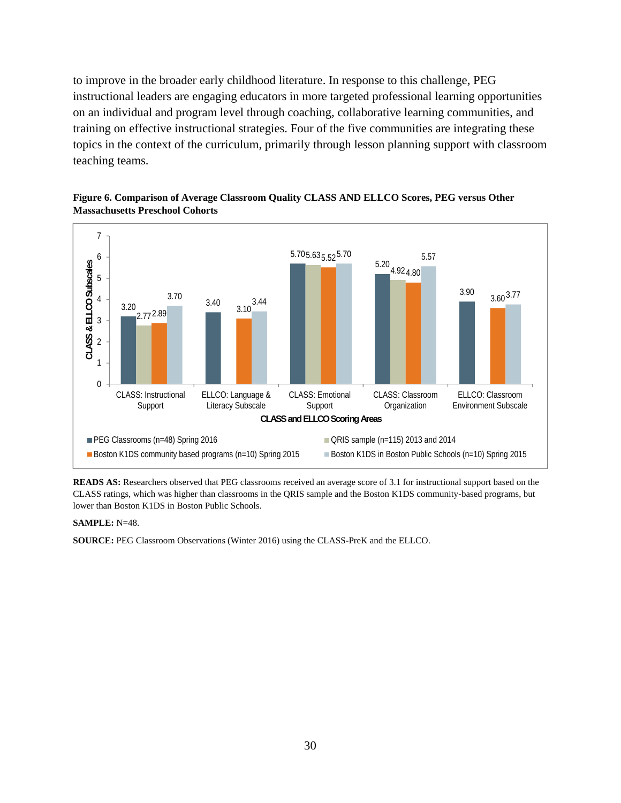to improve in the broader early childhood literature. In response to this challenge, PEG instructional leaders are engaging educators in more targeted professional learning opportunities on an individual and program level through coaching, collaborative learning communities, and training on effective instructional strategies. Four of the five communities are integrating these topics in the context of the curriculum, primarily through lesson planning support with classroom teaching teams.





**READS AS:** Researchers observed that PEG classrooms received an average score of 3.1 for instructional support based on the CLASS ratings, which was higher than classrooms in the QRIS sample and the Boston K1DS community-based programs, but lower than Boston K1DS in Boston Public Schools.

#### **SAMPLE:** N=48.

**SOURCE:** PEG Classroom Observations (Winter 2016) using the CLASS-PreK and the ELLCO.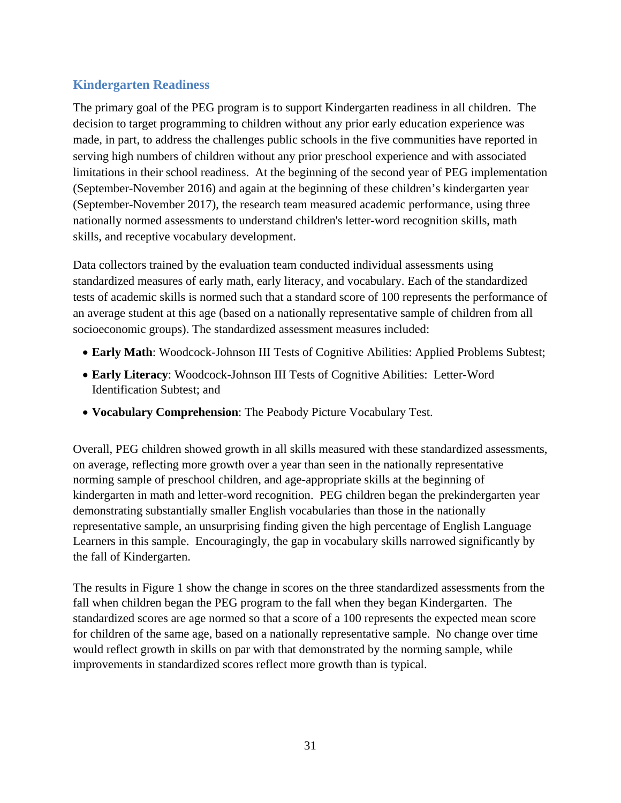# **Kindergarten Readiness**

The primary goal of the PEG program is to support Kindergarten readiness in all children. The decision to target programming to children without any prior early education experience was made, in part, to address the challenges public schools in the five communities have reported in serving high numbers of children without any prior preschool experience and with associated limitations in their school readiness. At the beginning of the second year of PEG implementation (September-November 2016) and again at the beginning of these children's kindergarten year (September-November 2017), the research team measured academic performance, using three nationally normed assessments to understand children's letter-word recognition skills, math skills, and receptive vocabulary development.

Data collectors trained by the evaluation team conducted individual assessments using standardized measures of early math, early literacy, and vocabulary. Each of the standardized tests of academic skills is normed such that a standard score of 100 represents the performance of an average student at this age (based on a nationally representative sample of children from all socioeconomic groups). The standardized assessment measures included:

- **Early Math**: Woodcock-Johnson III Tests of Cognitive Abilities: Applied Problems Subtest;
- **Early Literacy**: Woodcock-Johnson III Tests of Cognitive Abilities: Letter-Word Identification Subtest; and
- **Vocabulary Comprehension**: The Peabody Picture Vocabulary Test.

Overall, PEG children showed growth in all skills measured with these standardized assessments, on average, reflecting more growth over a year than seen in the nationally representative norming sample of preschool children, and age-appropriate skills at the beginning of kindergarten in math and letter-word recognition. PEG children began the prekindergarten year demonstrating substantially smaller English vocabularies than those in the nationally representative sample, an unsurprising finding given the high percentage of English Language Learners in this sample. Encouragingly, the gap in vocabulary skills narrowed significantly by the fall of Kindergarten.

The results in Figure 1 show the change in scores on the three standardized assessments from the fall when children began the PEG program to the fall when they began Kindergarten. The standardized scores are age normed so that a score of a 100 represents the expected mean score for children of the same age, based on a nationally representative sample. No change over time would reflect growth in skills on par with that demonstrated by the norming sample, while improvements in standardized scores reflect more growth than is typical.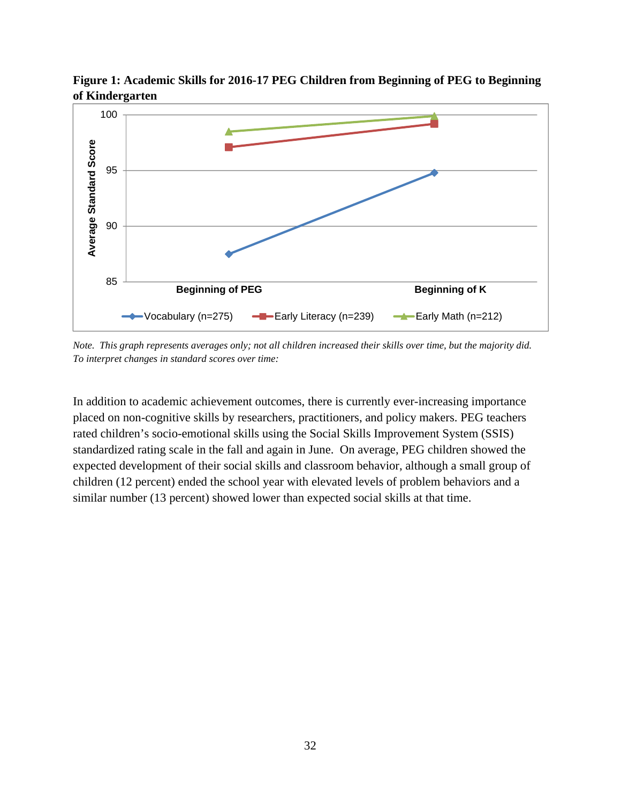

**Figure 1: Academic Skills for 2016-17 PEG Children from Beginning of PEG to Beginning of Kindergarten**

*Note. This graph represents averages only; not all children increased their skills over time, but the majority did. To interpret changes in standard scores over time:* 

In addition to academic achievement outcomes, there is currently ever-increasing importance placed on non-cognitive skills by researchers, practitioners, and policy makers. PEG teachers rated children's socio-emotional skills using the Social Skills Improvement System (SSIS) standardized rating scale in the fall and again in June. On average, PEG children showed the expected development of their social skills and classroom behavior, although a small group of children (12 percent) ended the school year with elevated levels of problem behaviors and a similar number (13 percent) showed lower than expected social skills at that time.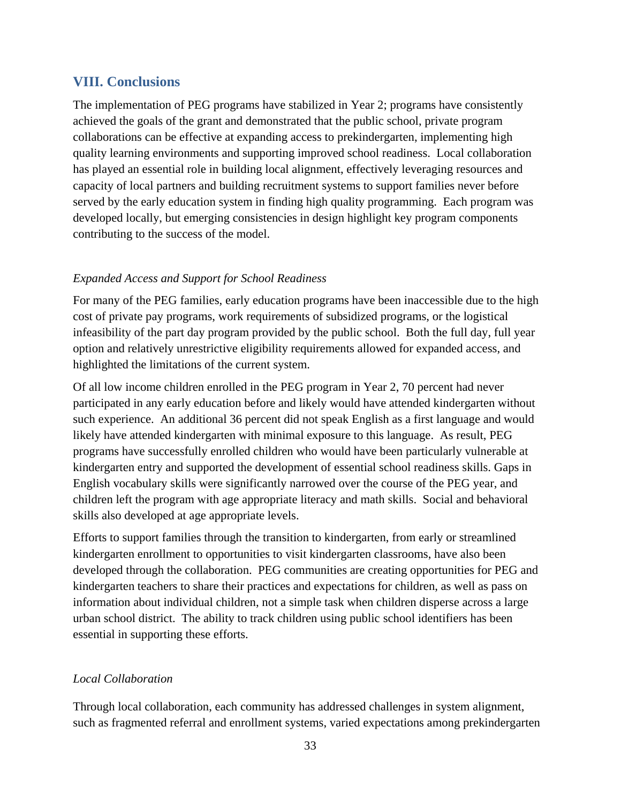### **VIII. Conclusions**

The implementation of PEG programs have stabilized in Year 2; programs have consistently achieved the goals of the grant and demonstrated that the public school, private program collaborations can be effective at expanding access to prekindergarten, implementing high quality learning environments and supporting improved school readiness. Local collaboration has played an essential role in building local alignment, effectively leveraging resources and capacity of local partners and building recruitment systems to support families never before served by the early education system in finding high quality programming. Each program was developed locally, but emerging consistencies in design highlight key program components contributing to the success of the model.

### *Expanded Access and Support for School Readiness*

For many of the PEG families, early education programs have been inaccessible due to the high cost of private pay programs, work requirements of subsidized programs, or the logistical infeasibility of the part day program provided by the public school. Both the full day, full year option and relatively unrestrictive eligibility requirements allowed for expanded access, and highlighted the limitations of the current system.

Of all low income children enrolled in the PEG program in Year 2, 70 percent had never participated in any early education before and likely would have attended kindergarten without such experience. An additional 36 percent did not speak English as a first language and would likely have attended kindergarten with minimal exposure to this language. As result, PEG programs have successfully enrolled children who would have been particularly vulnerable at kindergarten entry and supported the development of essential school readiness skills. Gaps in English vocabulary skills were significantly narrowed over the course of the PEG year, and children left the program with age appropriate literacy and math skills. Social and behavioral skills also developed at age appropriate levels.

Efforts to support families through the transition to kindergarten, from early or streamlined kindergarten enrollment to opportunities to visit kindergarten classrooms, have also been developed through the collaboration. PEG communities are creating opportunities for PEG and kindergarten teachers to share their practices and expectations for children, as well as pass on information about individual children, not a simple task when children disperse across a large urban school district. The ability to track children using public school identifiers has been essential in supporting these efforts.

#### *Local Collaboration*

Through local collaboration, each community has addressed challenges in system alignment, such as fragmented referral and enrollment systems, varied expectations among prekindergarten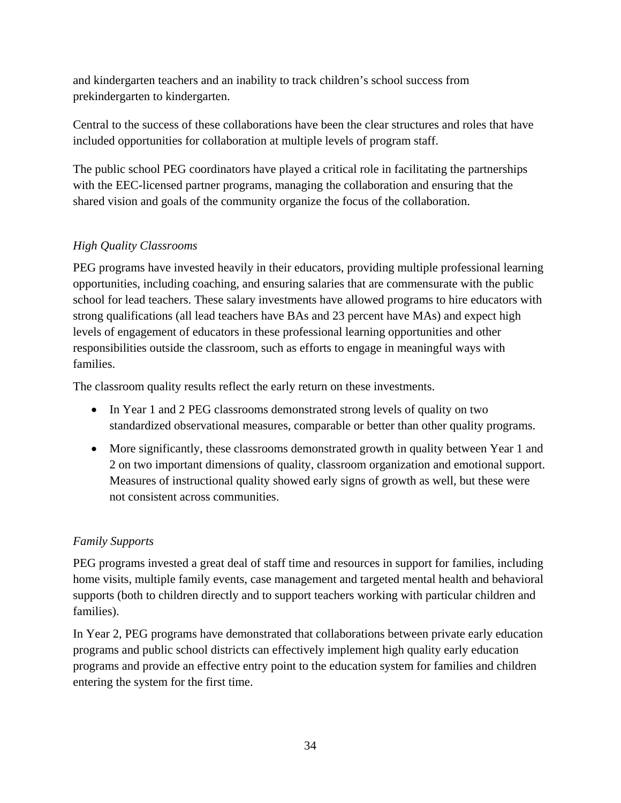and kindergarten teachers and an inability to track children's school success from prekindergarten to kindergarten.

Central to the success of these collaborations have been the clear structures and roles that have included opportunities for collaboration at multiple levels of program staff.

The public school PEG coordinators have played a critical role in facilitating the partnerships with the EEC-licensed partner programs, managing the collaboration and ensuring that the shared vision and goals of the community organize the focus of the collaboration.

# *High Quality Classrooms*

PEG programs have invested heavily in their educators, providing multiple professional learning opportunities, including coaching, and ensuring salaries that are commensurate with the public school for lead teachers. These salary investments have allowed programs to hire educators with strong qualifications (all lead teachers have BAs and 23 percent have MAs) and expect high levels of engagement of educators in these professional learning opportunities and other responsibilities outside the classroom, such as efforts to engage in meaningful ways with families.

The classroom quality results reflect the early return on these investments.

- In Year 1 and 2 PEG classrooms demonstrated strong levels of quality on two standardized observational measures, comparable or better than other quality programs.
- More significantly, these classrooms demonstrated growth in quality between Year 1 and 2 on two important dimensions of quality, classroom organization and emotional support. Measures of instructional quality showed early signs of growth as well, but these were not consistent across communities.

### *Family Supports*

PEG programs invested a great deal of staff time and resources in support for families, including home visits, multiple family events, case management and targeted mental health and behavioral supports (both to children directly and to support teachers working with particular children and families).

In Year 2, PEG programs have demonstrated that collaborations between private early education programs and public school districts can effectively implement high quality early education programs and provide an effective entry point to the education system for families and children entering the system for the first time.